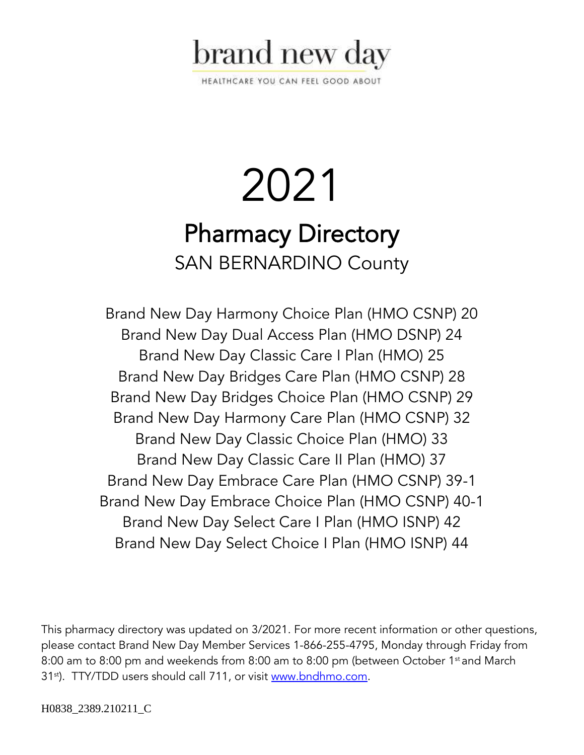

HEALTHCARE YOU CAN FEEL GOOD ABOUT

# 2021 Pharmacy Directory SAN BERNARDINO County

Brand New Day Harmony Choice Plan (HMO CSNP) 20 Brand New Day Dual Access Plan (HMO DSNP) 24 Brand New Day Classic Care I Plan (HMO) 25 Brand New Day Bridges Care Plan (HMO CSNP) 28 Brand New Day Bridges Choice Plan (HMO CSNP) 29 Brand New Day Harmony Care Plan (HMO CSNP) 32 Brand New Day Classic Choice Plan (HMO) 33 Brand New Day Classic Care II Plan (HMO) 37 Brand New Day Embrace Care Plan (HMO CSNP) 39-1 Brand New Day Embrace Choice Plan (HMO CSNP) 40-1 Brand New Day Select Care I Plan (HMO ISNP) 42 Brand New Day Select Choice I Plan (HMO ISNP) 44

This pharmacy directory was updated on 3/2021. For more recent information or other questions, please contact Brand New Day Member Services 1-866-255-4795, Monday through Friday from 8:00 am to 8:00 pm and weekends from 8:00 am to 8:00 pm (between October 1<sup>st</sup> and March 31<sup>st</sup>). TTY/TDD users should call 711, or visit [www.bndhmo.com.](http://www.bndhmo.com/)

H0838\_2389.210211\_C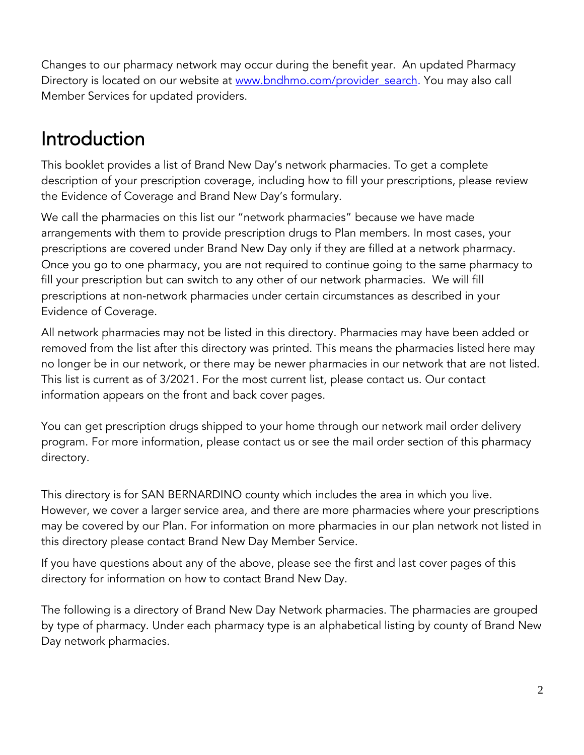Changes to our pharmacy network may occur during the benefit year. An updated Pharmacy Directory is located on our website at www.bndhmo.com/provider search. You may also call Member Services for updated providers.

## Introduction

This booklet provides a list of Brand New Day's network pharmacies. To get a complete description of your prescription coverage, including how to fill your prescriptions, please review the Evidence of Coverage and Brand New Day's formulary.

We call the pharmacies on this list our "network pharmacies" because we have made arrangements with them to provide prescription drugs to Plan members. In most cases, your prescriptions are covered under Brand New Day only if they are filled at a network pharmacy. Once you go to one pharmacy, you are not required to continue going to the same pharmacy to fill your prescription but can switch to any other of our network pharmacies. We will fill prescriptions at non-network pharmacies under certain circumstances as described in your Evidence of Coverage.

All network pharmacies may not be listed in this directory. Pharmacies may have been added or removed from the list after this directory was printed. This means the pharmacies listed here may no longer be in our network, or there may be newer pharmacies in our network that are not listed. This list is current as of 3/2021. For the most current list, please contact us. Our contact information appears on the front and back cover pages.

You can get prescription drugs shipped to your home through our network mail order delivery program. For more information, please contact us or see the mail order section of this pharmacy directory.

This directory is for SAN BERNARDINO county which includes the area in which you live. However, we cover a larger service area, and there are more pharmacies where your prescriptions may be covered by our Plan. For information on more pharmacies in our plan network not listed in this directory please contact Brand New Day Member Service.

If you have questions about any of the above, please see the first and last cover pages of this directory for information on how to contact Brand New Day.

The following is a directory of Brand New Day Network pharmacies. The pharmacies are grouped by type of pharmacy. Under each pharmacy type is an alphabetical listing by county of Brand New Day network pharmacies.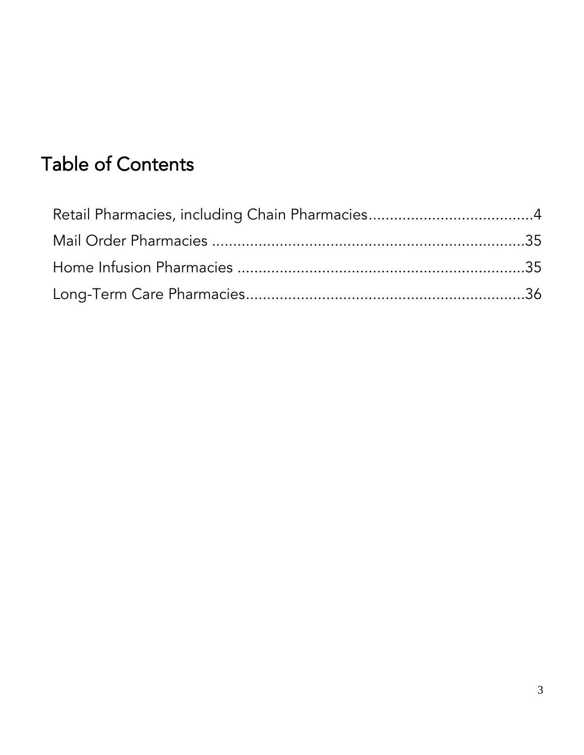## Table of Contents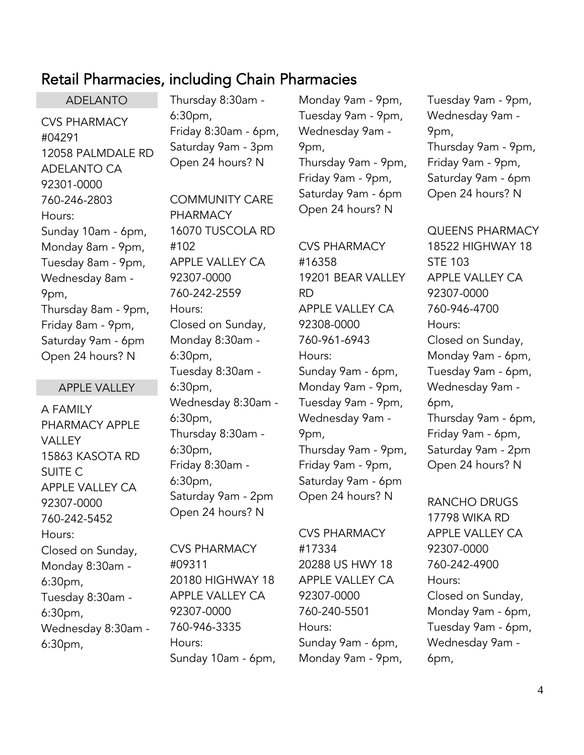## <span id="page-3-0"></span>Retail Pharmacies, including Chain Pharmacies

ADELANTO CVS PHARMACY #04291 12058 PALMDALE RD ADELANTO CA 92301-0000 760-246-2803 Hours: Sunday 10am - 6pm, Monday 8am - 9pm, Tuesday 8am - 9pm, Wednesday 8am - 9pm, Thursday 8am - 9pm, Friday 8am - 9pm, Saturday 9am - 6pm Open 24 hours? N

#### APPLE VALLEY

A FAMILY PHARMACY APPLE **VALLEY** 15863 KASOTA RD SUITE C APPLE VALLEY CA 92307-0000 760-242-5452 Hours: Closed on Sunday, Monday 8:30am - 6:30pm, Tuesday 8:30am - 6:30pm, Wednesday 8:30am - 6:30pm,

Thursday 8:30am - 6:30pm, Friday 8:30am - 6pm, Saturday 9am - 3pm Open 24 hours? N

COMMUNITY CARE PHARMACY 16070 TUSCOLA RD #102 APPLE VALLEY CA 92307-0000 760-242-2559 Hours: Closed on Sunday, Monday 8:30am - 6:30pm, Tuesday 8:30am - 6:30pm, Wednesday 8:30am - 6:30pm, Thursday 8:30am - 6:30pm, Friday 8:30am - 6:30pm, Saturday 9am - 2pm Open 24 hours? N

CVS PHARMACY #09311 20180 HIGHWAY 18 APPLE VALLEY CA 92307-0000 760-946-3335 Hours: Sunday 10am - 6pm,

Monday 9am - 9pm, Tuesday 9am - 9pm, Wednesday 9am - 9pm, Thursday 9am - 9pm, Friday 9am - 9pm, Saturday 9am - 6pm Open 24 hours? N

CVS PHARMACY #16358 19201 BEAR VALLEY RD APPLE VALLEY CA 92308-0000 760-961-6943 Hours: Sunday 9am - 6pm, Monday 9am - 9pm, Tuesday 9am - 9pm, Wednesday 9am - 9pm, Thursday 9am - 9pm, Friday 9am - 9pm, Saturday 9am - 6pm Open 24 hours? N

CVS PHARMACY #17334 20288 US HWY 18 APPLE VALLEY CA 92307-0000 760-240-5501 Hours: Sunday 9am - 6pm, Monday 9am - 9pm,

Tuesday 9am - 9pm, Wednesday 9am - 9pm, Thursday 9am - 9pm, Friday 9am - 9pm, Saturday 9am - 6pm Open 24 hours? N

QUEENS PHARMACY 18522 HIGHWAY 18 STE 103 APPLE VALLEY CA 92307-0000 760-946-4700 Hours: Closed on Sunday, Monday 9am - 6pm, Tuesday 9am - 6pm, Wednesday 9am - 6pm, Thursday 9am - 6pm, Friday 9am - 6pm, Saturday 9am - 2pm Open 24 hours? N

RANCHO DRUGS 17798 WIKA RD APPLE VALLEY CA 92307-0000 760-242-4900 Hours: Closed on Sunday, Monday 9am - 6pm, Tuesday 9am - 6pm, Wednesday 9am - 6pm,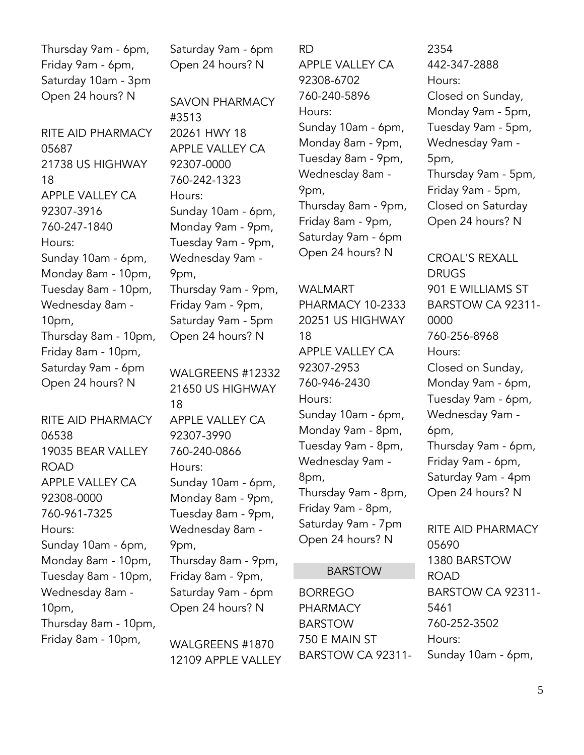Thursday 9am - 6pm, Friday 9am - 6pm, Saturday 10am - 3pm Open 24 hours? N

RITE AID PHARMACY 05687 21738 US HIGHWAY 18 APPLE VALLEY CA 92307-3916 760-247-1840 Hours: Sunday 10am - 6pm, Monday 8am - 10pm, Tuesday 8am - 10pm, Wednesday 8am - 10pm, Thursday 8am - 10pm, Friday 8am - 10pm, Saturday 9am - 6pm Open 24 hours? N

RITE AID PHARMACY 06538 19035 BEAR VALLEY ROAD APPLE VALLEY CA 92308-0000 760-961-7325 Hours: Sunday 10am - 6pm, Monday 8am - 10pm, Tuesday 8am - 10pm, Wednesday 8am - 10pm, Thursday 8am - 10pm, Friday 8am - 10pm,

Saturday 9am - 6pm Open 24 hours? N

SAVON PHARMACY #3513 20261 HWY 18 APPLE VALLEY CA 92307-0000 760-242-1323 Hours: Sunday 10am - 6pm, Monday 9am - 9pm, Tuesday 9am - 9pm, Wednesday 9am - 9pm, Thursday 9am - 9pm, Friday 9am - 9pm, Saturday 9am - 5pm Open 24 hours? N

WALGREENS #12332 21650 US HIGHWAY 18 APPLE VALLEY CA 92307-3990 760-240-0866 Hours: Sunday 10am - 6pm, Monday 8am - 9pm, Tuesday 8am - 9pm, Wednesday 8am - 9pm, Thursday 8am - 9pm, Friday 8am - 9pm, Saturday 9am - 6pm Open 24 hours? N

WALGREENS #1870 12109 APPLE VALLEY

RD APPLE VALLEY CA 92308-6702 760-240-5896 Hours: Sunday 10am - 6pm, Monday 8am - 9pm, Tuesday 8am - 9pm, Wednesday 8am - 9pm, Thursday 8am - 9pm, Friday 8am - 9pm, Saturday 9am - 6pm Open 24 hours? N

## WALMART PHARMACY 10-2333 20251 US HIGHWAY 18 APPLE VALLEY CA 92307-2953 760-946-2430 Hours: Sunday 10am - 6pm, Monday 9am - 8pm, Tuesday 9am - 8pm, Wednesday 9am - 8pm, Thursday 9am - 8pm, Friday 9am - 8pm, Saturday 9am - 7pm Open 24 hours? N

#### BARSTOW

BORREGO PHARMACY BARSTOW 750 E MAIN ST BARSTOW CA 92311-

2354 442-347-2888 Hours: Closed on Sunday, Monday 9am - 5pm, Tuesday 9am - 5pm, Wednesday 9am - 5pm, Thursday 9am - 5pm, Friday 9am - 5pm, Closed on Saturday Open 24 hours? N

CROAL'S REXALL DRUGS 901 E WILLIAMS ST BARSTOW CA 92311- 0000 760-256-8968 Hours: Closed on Sunday, Monday 9am - 6pm, Tuesday 9am - 6pm, Wednesday 9am - 6pm, Thursday 9am - 6pm, Friday 9am - 6pm, Saturday 9am - 4pm Open 24 hours? N

RITE AID PHARMACY 05690 1380 BARSTOW ROAD BARSTOW CA 92311- 5461 760-252-3502 Hours: Sunday 10am - 6pm,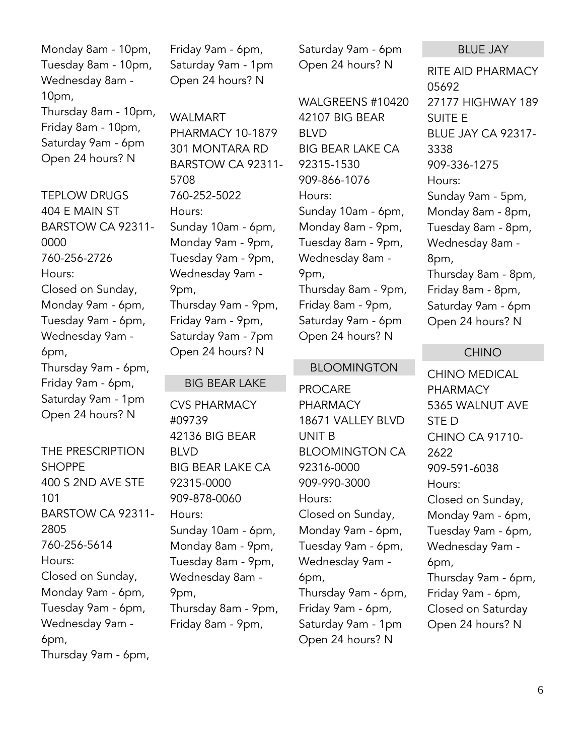Monday 8am - 10pm, Tuesday 8am - 10pm, Wednesday 8am - 10pm, Thursday 8am - 10pm, Friday 8am - 10pm, Saturday 9am - 6pm Open 24 hours? N

TEPLOW DRUGS 404 E MAIN ST BARSTOW CA 92311- 0000 760-256-2726 Hours: Closed on Sunday, Monday 9am - 6pm, Tuesday 9am - 6pm, Wednesday 9am - 6pm, Thursday 9am - 6pm, Friday 9am - 6pm, Saturday 9am - 1pm Open 24 hours? N

THE PRESCRIPTION SHOPPE 400 S 2ND AVE STE 101 BARSTOW CA 92311- 2805 760-256-5614 Hours: Closed on Sunday, Monday 9am - 6pm, Tuesday 9am - 6pm, Wednesday 9am - 6pm, Thursday 9am - 6pm,

Friday 9am - 6pm, Saturday 9am - 1pm Open 24 hours? N

WALMART PHARMACY 10-1879 301 MONTARA RD BARSTOW CA 92311- 5708 760-252-5022 Hours: Sunday 10am - 6pm, Monday 9am - 9pm, Tuesday 9am - 9pm, Wednesday 9am - 9pm, Thursday 9am - 9pm, Friday 9am - 9pm, Saturday 9am - 7pm Open 24 hours? N

#### BIG BEAR LAKE

CVS PHARMACY #09739 42136 BIG BEAR BLVD BIG BEAR LAKE CA 92315-0000 909-878-0060 Hours: Sunday 10am - 6pm, Monday 8am - 9pm, Tuesday 8am - 9pm, Wednesday 8am - 9pm, Thursday 8am - 9pm, Friday 8am - 9pm,

Saturday 9am - 6pm Open 24 hours? N

WALGREENS #10420 42107 BIG BEAR BLVD BIG BEAR LAKE CA 92315-1530 909-866-1076 Hours: Sunday 10am - 6pm, Monday 8am - 9pm, Tuesday 8am - 9pm, Wednesday 8am - 9pm, Thursday 8am - 9pm, Friday 8am - 9pm, Saturday 9am - 6pm Open 24 hours? N

#### BLOOMINGTON

PROCARE PHARMACY 18671 VALLEY BLVD UNIT B BLOOMINGTON CA 92316-0000 909-990-3000 Hours: Closed on Sunday, Monday 9am - 6pm, Tuesday 9am - 6pm, Wednesday 9am - 6pm, Thursday 9am - 6pm, Friday 9am - 6pm, Saturday 9am - 1pm Open 24 hours? N

#### BLUE JAY

RITE AID PHARMACY 05692 27177 HIGHWAY 189 SUITE E BLUE JAY CA 92317- 3338 909-336-1275 Hours: Sunday 9am - 5pm, Monday 8am - 8pm, Tuesday 8am - 8pm, Wednesday 8am - 8pm, Thursday 8am - 8pm, Friday 8am - 8pm, Saturday 9am - 6pm Open 24 hours? N

#### CHINO

CHINO MEDICAL PHARMACY 5365 WALNUT AVE STE D CHINO CA 91710- 2622 909-591-6038 Hours: Closed on Sunday, Monday 9am - 6pm, Tuesday 9am - 6pm, Wednesday 9am - 6pm, Thursday 9am - 6pm, Friday 9am - 6pm, Closed on Saturday Open 24 hours? N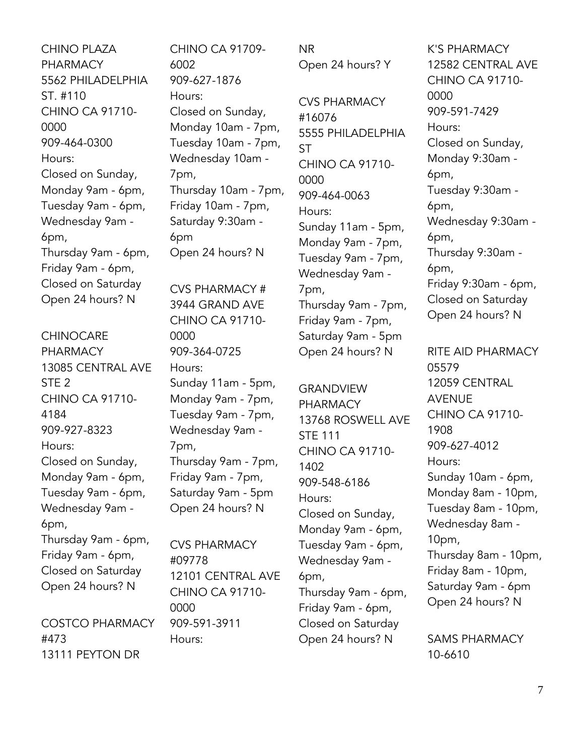CHINO PLAZA PHARMACY 5562 PHILADELPHIA ST. #110 CHINO CA 91710- 0000 909-464-0300 Hours: Closed on Sunday, Monday 9am - 6pm, Tuesday 9am - 6pm, Wednesday 9am - 6pm, Thursday 9am - 6pm, Friday 9am - 6pm, Closed on Saturday Open 24 hours? N

CHINOCARE PHARMACY 13085 CENTRAL AVE STE 2 CHINO CA 91710- 4184 909-927-8323 Hours: Closed on Sunday, Monday 9am - 6pm, Tuesday 9am - 6pm, Wednesday 9am - 6pm, Thursday 9am - 6pm, Friday 9am - 6pm, Closed on Saturday Open 24 hours? N COSTCO PHARMACY

#473 13111 PEYTON DR CHINO CA 91709- 6002 909-627-1876 Hours: Closed on Sunday, Monday 10am - 7pm, Tuesday 10am - 7pm, Wednesday 10am - 7pm, Thursday 10am - 7pm, Friday 10am - 7pm, Saturday 9:30am - 6pm Open 24 hours? N

CVS PHARMACY # 3944 GRAND AVE CHINO CA 91710- 0000 909-364-0725 Hours: Sunday 11am - 5pm, Monday 9am - 7pm, Tuesday 9am - 7pm, Wednesday 9am - 7pm, Thursday 9am - 7pm, Friday 9am - 7pm, Saturday 9am - 5pm Open 24 hours? N

CVS PHARMACY #09778 12101 CENTRAL AVE CHINO CA 91710- 0000 909-591-3911 Hours:

NR Open 24 hours? Y

CVS PHARMACY #16076 5555 PHILADELPHIA **ST** CHINO CA 91710- 0000 909-464-0063 Hours: Sunday 11am - 5pm, Monday 9am - 7pm, Tuesday 9am - 7pm, Wednesday 9am - 7pm, Thursday 9am - 7pm, Friday 9am - 7pm, Saturday 9am - 5pm Open 24 hours? N

GRANDVIEW PHARMACY 13768 ROSWELL AVE STE 111 CHINO CA 91710- 1402 909-548-6186 Hours: Closed on Sunday, Monday 9am - 6pm, Tuesday 9am - 6pm, Wednesday 9am - 6pm, Thursday 9am - 6pm, Friday 9am - 6pm, Closed on Saturday Open 24 hours? N

K'S PHARMACY 12582 CENTRAL AVE CHINO CA 91710- 0000 909-591-7429 Hours: Closed on Sunday, Monday 9:30am - 6pm, Tuesday 9:30am - 6pm, Wednesday 9:30am - 6pm, Thursday 9:30am - 6pm, Friday 9:30am - 6pm, Closed on Saturday Open 24 hours? N

RITE AID PHARMACY 05579 12059 CENTRAL AVENUE CHINO CA 91710- 1908 909-627-4012 Hours: Sunday 10am - 6pm, Monday 8am - 10pm, Tuesday 8am - 10pm, Wednesday 8am - 10pm, Thursday 8am - 10pm, Friday 8am - 10pm, Saturday 9am - 6pm Open 24 hours? N

SAMS PHARMACY 10-6610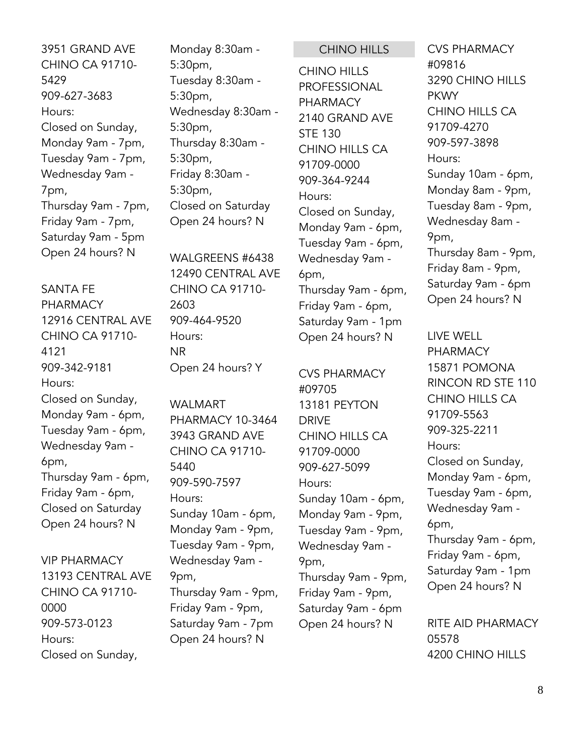3951 GRAND AVE CHINO CA 91710- 5429 909-627-3683 Hours: Closed on Sunday, Monday 9am - 7pm, Tuesday 9am - 7pm, Wednesday 9am - 7pm, Thursday 9am - 7pm, Friday 9am - 7pm, Saturday 9am - 5pm Open 24 hours? N

## SANTA FE PHARMACY 12916 CENTRAL AVE CHINO CA 91710- 4121 909-342-9181 Hours: Closed on Sunday, Monday 9am - 6pm, Tuesday 9am - 6pm, Wednesday 9am - 6pm, Thursday 9am - 6pm, Friday 9am - 6pm, Closed on Saturday Open 24 hours? N

VIP PHARMACY 13193 CENTRAL AVE CHINO CA 91710- 0000 909-573-0123 Hours: Closed on Sunday,

Monday 8:30am - 5:30pm, Tuesday 8:30am - 5:30pm, Wednesday 8:30am - 5:30pm, Thursday 8:30am - 5:30pm, Friday 8:30am - 5:30pm, Closed on Saturday Open 24 hours? N

WALGREENS #6438 12490 CENTRAL AVE CHINO CA 91710- 2603 909-464-9520 Hours: NR Open 24 hours? Y

WALMART PHARMACY 10-3464 3943 GRAND AVE CHINO CA 91710- 5440 909-590-7597 Hours: Sunday 10am - 6pm, Monday 9am - 9pm, Tuesday 9am - 9pm, Wednesday 9am - 9pm, Thursday 9am - 9pm, Friday 9am - 9pm, Saturday 9am - 7pm Open 24 hours? N

CHINO HILLS

CHINO HILLS PROFESSIONAL PHARMACY 2140 GRAND AVE STE 130 CHINO HILLS CA 91709-0000 909-364-9244 Hours: Closed on Sunday, Monday 9am - 6pm, Tuesday 9am - 6pm, Wednesday 9am - 6pm, Thursday 9am - 6pm, Friday 9am - 6pm, Saturday 9am - 1pm Open 24 hours? N

CVS PHARMACY #09705 13181 PEYTON DRIVE CHINO HILLS CA 91709-0000 909-627-5099 Hours: Sunday 10am - 6pm, Monday 9am - 9pm, Tuesday 9am - 9pm, Wednesday 9am - 9pm, Thursday 9am - 9pm, Friday 9am - 9pm, Saturday 9am - 6pm Open 24 hours? N

CVS PHARMACY #09816 3290 CHINO HILLS **PKWY** CHINO HILLS CA 91709-4270 909-597-3898 Hours: Sunday 10am - 6pm, Monday 8am - 9pm, Tuesday 8am - 9pm, Wednesday 8am - 9pm, Thursday 8am - 9pm, Friday 8am - 9pm, Saturday 9am - 6pm Open 24 hours? N

LIVE WELL PHARMACY 15871 POMONA RINCON RD STE 110 CHINO HILLS CA 91709-5563 909-325-2211 Hours: Closed on Sunday, Monday 9am - 6pm, Tuesday 9am - 6pm, Wednesday 9am - 6pm, Thursday 9am - 6pm, Friday 9am - 6pm, Saturday 9am - 1pm Open 24 hours? N

RITE AID PHARMACY 05578 4200 CHINO HILLS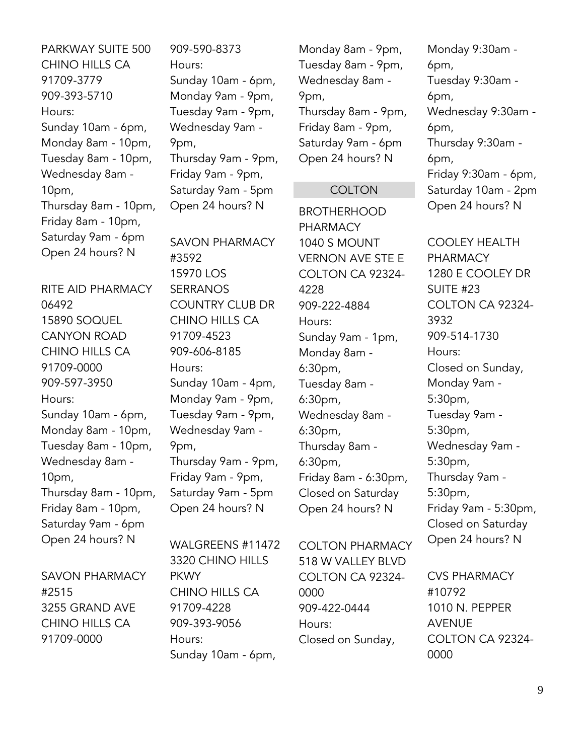PARKWAY SUITE 500 CHINO HILLS CA 91709-3779 909-393-5710 Hours: Sunday 10am - 6pm, Monday 8am - 10pm, Tuesday 8am - 10pm, Wednesday 8am - 10pm, Thursday 8am - 10pm, Friday 8am - 10pm, Saturday 9am - 6pm Open 24 hours? N

RITE AID PHARMACY 06492 15890 SOQUEL CANYON ROAD CHINO HILLS CA 91709-0000 909-597-3950 Hours: Sunday 10am - 6pm, Monday 8am - 10pm, Tuesday 8am - 10pm, Wednesday 8am - 10pm, Thursday 8am - 10pm, Friday 8am - 10pm, Saturday 9am - 6pm Open 24 hours? N

SAVON PHARMACY #2515 3255 GRAND AVE CHINO HILLS CA 91709-0000

909-590-8373 Hours: Sunday 10am - 6pm, Monday 9am - 9pm, Tuesday 9am - 9pm, Wednesday 9am - 9pm, Thursday 9am - 9pm, Friday 9am - 9pm, Saturday 9am - 5pm Open 24 hours? N

SAVON PHARMACY #3592 15970 LOS SERRANOS COUNTRY CLUB DR CHINO HILLS CA 91709-4523 909-606-8185 Hours: Sunday 10am - 4pm, Monday 9am - 9pm, Tuesday 9am - 9pm, Wednesday 9am - 9pm, Thursday 9am - 9pm, Friday 9am - 9pm, Saturday 9am - 5pm Open 24 hours? N

WALGREENS #11472 3320 CHINO HILLS PKWY CHINO HILLS CA 91709-4228 909-393-9056 Hours: Sunday 10am - 6pm,

Monday 8am - 9pm, Tuesday 8am - 9pm, Wednesday 8am - 9pm, Thursday 8am - 9pm, Friday 8am - 9pm, Saturday 9am - 6pm Open 24 hours? N

#### **COLTON**

BROTHERHOOD PHARMACY 1040 S MOUNT VERNON AVE STE E COLTON CA 92324- 4228 909-222-4884 Hours: Sunday 9am - 1pm, Monday 8am - 6:30pm, Tuesday 8am - 6:30pm, Wednesday 8am - 6:30pm, Thursday 8am - 6:30pm, Friday 8am - 6:30pm, Closed on Saturday Open 24 hours? N

COLTON PHARMACY 518 W VALLEY BLVD COLTON CA 92324- 0000 909-422-0444 Hours: Closed on Sunday,

Monday 9:30am - 6pm, Tuesday 9:30am - 6pm, Wednesday 9:30am - 6pm, Thursday 9:30am - 6pm, Friday 9:30am - 6pm, Saturday 10am - 2pm Open 24 hours? N

COOLEY HEALTH PHARMACY 1280 E COOLEY DR SUITE #23 COLTON CA 92324- 3932 909-514-1730 Hours: Closed on Sunday, Monday 9am - 5:30pm, Tuesday 9am - 5:30pm, Wednesday 9am - 5:30pm, Thursday 9am - 5:30pm, Friday 9am - 5:30pm, Closed on Saturday Open 24 hours? N

CVS PHARMACY #10792 1010 N. PEPPER AVENUE COLTON CA 92324- 0000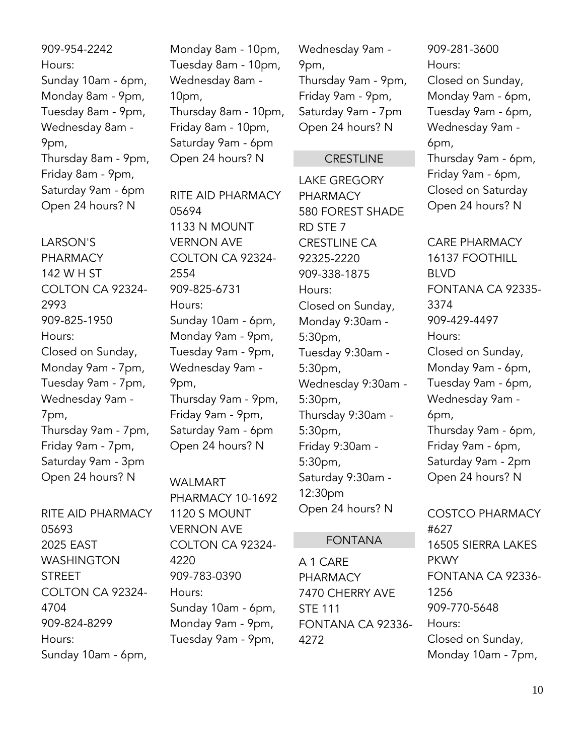909-954-2242 Hours: Sunday 10am - 6pm, Monday 8am - 9pm, Tuesday 8am - 9pm, Wednesday 8am - 9pm, Thursday 8am - 9pm, Friday 8am - 9pm, Saturday 9am - 6pm Open 24 hours? N

LARSON'S PHARMACY 142 W H ST COLTON CA 92324- 2993 909-825-1950 Hours: Closed on Sunday, Monday 9am - 7pm, Tuesday 9am - 7pm, Wednesday 9am - 7pm, Thursday 9am - 7pm, Friday 9am - 7pm, Saturday 9am - 3pm Open 24 hours? N

RITE AID PHARMACY 05693 2025 EAST WASHINGTON STREET COLTON CA 92324- 4704 909-824-8299 Hours: Sunday 10am - 6pm,

Monday 8am - 10pm, Tuesday 8am - 10pm, Wednesday 8am - 10pm, Thursday 8am - 10pm, Friday 8am - 10pm, Saturday 9am - 6pm Open 24 hours? N

RITE AID PHARMACY 05694 1133 N MOUNT VERNON AVE COLTON CA 92324- 2554 909-825-6731 Hours: Sunday 10am - 6pm, Monday 9am - 9pm, Tuesday 9am - 9pm, Wednesday 9am - 9pm, Thursday 9am - 9pm, Friday 9am - 9pm, Saturday 9am - 6pm Open 24 hours? N

WALMART PHARMACY 10-1692 1120 S MOUNT VERNON AVE COLTON CA 92324- 4220 909-783-0390 Hours: Sunday 10am - 6pm, Monday 9am - 9pm, Tuesday 9am - 9pm,

Wednesday 9am - 9pm, Thursday 9am - 9pm, Friday 9am - 9pm, Saturday 9am - 7pm Open 24 hours? N

#### **CRESTLINE**

LAKE GREGORY PHARMACY 580 FOREST SHADE RD STE 7 CRESTLINE CA 92325-2220 909-338-1875 Hours: Closed on Sunday, Monday 9:30am - 5:30pm, Tuesday 9:30am - 5:30pm, Wednesday 9:30am - 5:30pm, Thursday 9:30am - 5:30pm, Friday 9:30am - 5:30pm, Saturday 9:30am - 12:30pm Open 24 hours? N

#### FONTANA

A 1 CARE PHARMACY 7470 CHERRY AVE STE 111 FONTANA CA 92336- 4272

909-281-3600 Hours: Closed on Sunday, Monday 9am - 6pm, Tuesday 9am - 6pm, Wednesday 9am - 6pm, Thursday 9am - 6pm, Friday 9am - 6pm, Closed on Saturday Open 24 hours? N

CARE PHARMACY 16137 FOOTHILL BLVD FONTANA CA 92335- 3374 909-429-4497 Hours: Closed on Sunday, Monday 9am - 6pm, Tuesday 9am - 6pm, Wednesday 9am - 6pm, Thursday 9am - 6pm, Friday 9am - 6pm, Saturday 9am - 2pm Open 24 hours? N

COSTCO PHARMACY #627 16505 SIERRA LAKES PKWY FONTANA CA 92336- 1256 909-770-5648 Hours: Closed on Sunday, Monday 10am - 7pm,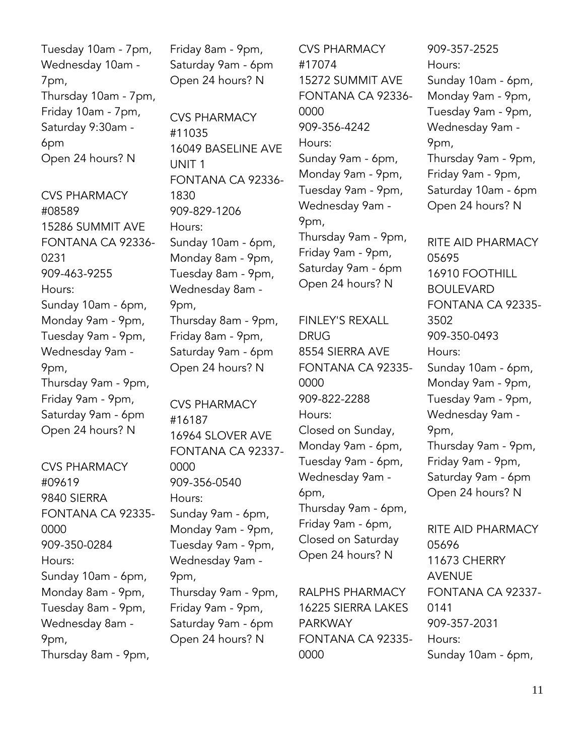Tuesday 10am - 7pm, Wednesday 10am - 7pm, Thursday 10am - 7pm, Friday 10am - 7pm, Saturday 9:30am - 6pm Open 24 hours? N

CVS PHARMACY #08589 15286 SUMMIT AVE FONTANA CA 92336- 0231 909-463-9255 Hours: Sunday 10am - 6pm, Monday 9am - 9pm, Tuesday 9am - 9pm, Wednesday 9am - 9pm, Thursday 9am - 9pm, Friday 9am - 9pm, Saturday 9am - 6pm Open 24 hours? N

CVS PHARMACY #09619 9840 SIERRA FONTANA CA 92335- 0000 909-350-0284 Hours: Sunday 10am - 6pm, Monday 8am - 9pm, Tuesday 8am - 9pm, Wednesday 8am - 9pm, Thursday 8am - 9pm,

Friday 8am - 9pm, Saturday 9am - 6pm Open 24 hours? N

CVS PHARMACY #11035 16049 BASELINE AVE UNIT 1 FONTANA CA 92336- 1830 909-829-1206 Hours: Sunday 10am - 6pm, Monday 8am - 9pm, Tuesday 8am - 9pm, Wednesday 8am - 9pm, Thursday 8am - 9pm, Friday 8am - 9pm, Saturday 9am - 6pm Open 24 hours? N

CVS PHARMACY #16187 16964 SLOVER AVE FONTANA CA 92337- 0000 909-356-0540 Hours: Sunday 9am - 6pm, Monday 9am - 9pm, Tuesday 9am - 9pm, Wednesday 9am - 9pm, Thursday 9am - 9pm, Friday 9am - 9pm, Saturday 9am - 6pm Open 24 hours? N

CVS PHARMACY #17074 15272 SUMMIT AVE FONTANA CA 92336- 0000 909-356-4242 Hours: Sunday 9am - 6pm, Monday 9am - 9pm, Tuesday 9am - 9pm, Wednesday 9am - 9pm, Thursday 9am - 9pm, Friday 9am - 9pm, Saturday 9am - 6pm Open 24 hours? N

FINLEY'S REXALL DRUG 8554 SIERRA AVE FONTANA CA 92335- 0000 909-822-2288 Hours: Closed on Sunday, Monday 9am - 6pm, Tuesday 9am - 6pm, Wednesday 9am - 6pm, Thursday 9am - 6pm, Friday 9am - 6pm, Closed on Saturday Open 24 hours? N

RALPHS PHARMACY 16225 SIERRA LAKES PARKWAY FONTANA CA 92335- 0000

909-357-2525 Hours: Sunday 10am - 6pm, Monday 9am - 9pm, Tuesday 9am - 9pm, Wednesday 9am - 9pm, Thursday 9am - 9pm, Friday 9am - 9pm, Saturday 10am - 6pm Open 24 hours? N

RITE AID PHARMACY 05695 16910 FOOTHILL BOULEVARD FONTANA CA 92335- 3502 909-350-0493 Hours: Sunday 10am - 6pm, Monday 9am - 9pm, Tuesday 9am - 9pm, Wednesday 9am - 9pm, Thursday 9am - 9pm, Friday 9am - 9pm, Saturday 9am - 6pm Open 24 hours? N

RITE AID PHARMACY 05696 11673 CHERRY AVENUE FONTANA CA 92337- 0141 909-357-2031 Hours: Sunday 10am - 6pm,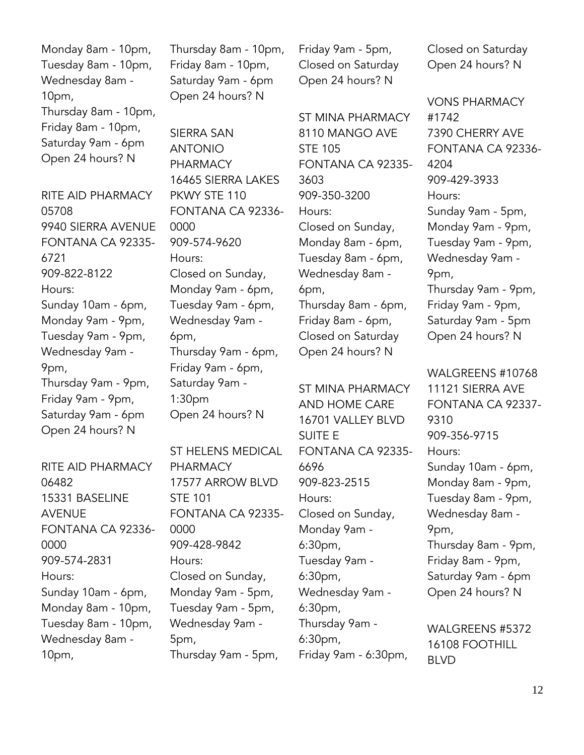Monday 8am - 10pm, Tuesday 8am - 10pm, Wednesday 8am - 10pm, Thursday 8am - 10pm, Friday 8am - 10pm, Saturday 9am - 6pm Open 24 hours? N

RITE AID PHARMACY 05708 9940 SIERRA AVENUE FONTANA CA 92335- 6721 909-822-8122 Hours: Sunday 10am - 6pm, Monday 9am - 9pm, Tuesday 9am - 9pm, Wednesday 9am - 9pm, Thursday 9am - 9pm, Friday 9am - 9pm, Saturday 9am - 6pm Open 24 hours? N

RITE AID PHARMACY 06482 15331 BASELINE AVENUE FONTANA CA 92336- 0000 909-574-2831 Hours: Sunday 10am - 6pm, Monday 8am - 10pm, Tuesday 8am - 10pm, Wednesday 8am - 10pm,

Thursday 8am - 10pm, Friday 8am - 10pm, Saturday 9am - 6pm Open 24 hours? N

SIERRA SAN ANTONIO PHARMACY 16465 SIERRA LAKES PKWY STE 110 FONTANA CA 92336- 0000 909-574-9620 Hours: Closed on Sunday, Monday 9am - 6pm, Tuesday 9am - 6pm, Wednesday 9am - 6pm, Thursday 9am - 6pm, Friday 9am - 6pm, Saturday 9am - 1:30pm Open 24 hours? N

ST HELENS MEDICAL PHARMACY 17577 ARROW BLVD STE 101 FONTANA CA 92335- 0000 909-428-9842 Hours: Closed on Sunday, Monday 9am - 5pm, Tuesday 9am - 5pm, Wednesday 9am - 5pm, Thursday 9am - 5pm,

Friday 9am - 5pm, Closed on Saturday Open 24 hours? N

ST MINA PHARMACY 8110 MANGO AVE STE 105 FONTANA CA 92335- 3603 909-350-3200 Hours: Closed on Sunday, Monday 8am - 6pm, Tuesday 8am - 6pm, Wednesday 8am - 6pm, Thursday 8am - 6pm, Friday 8am - 6pm, Closed on Saturday Open 24 hours? N

ST MINA PHARMACY AND HOME CARE 16701 VALLEY BLVD SUITE E FONTANA CA 92335- 6696 909-823-2515 Hours: Closed on Sunday, Monday 9am - 6:30pm, Tuesday 9am - 6:30pm, Wednesday 9am - 6:30pm, Thursday 9am - 6:30pm, Friday 9am - 6:30pm,

Closed on Saturday Open 24 hours? N

VONS PHARMACY #1742 7390 CHERRY AVE FONTANA CA 92336- 4204 909-429-3933 Hours: Sunday 9am - 5pm, Monday 9am - 9pm, Tuesday 9am - 9pm, Wednesday 9am - 9pm, Thursday 9am - 9pm, Friday 9am - 9pm, Saturday 9am - 5pm Open 24 hours? N

WALGREENS #10768 11121 SIERRA AVE FONTANA CA 92337- 9310 909-356-9715 Hours: Sunday 10am - 6pm, Monday 8am - 9pm, Tuesday 8am - 9pm, Wednesday 8am - 9pm, Thursday 8am - 9pm, Friday 8am - 9pm, Saturday 9am - 6pm Open 24 hours? N

WALGREENS #5372 16108 FOOTHILL BLVD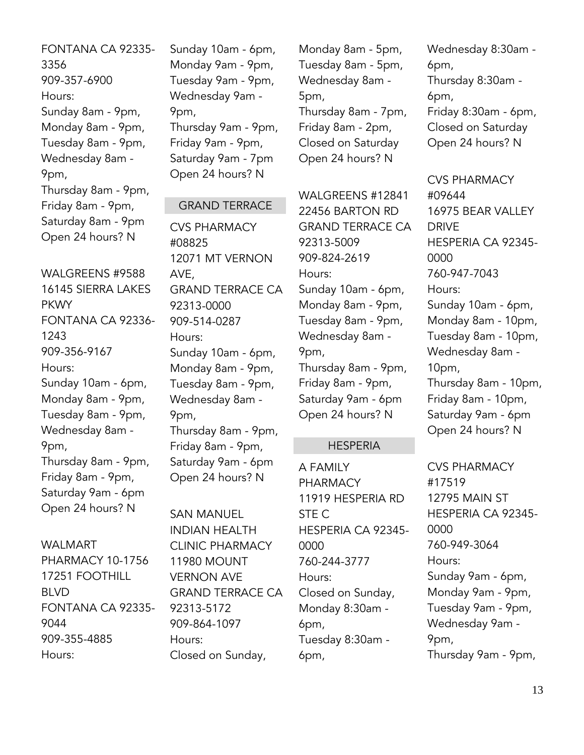FONTANA CA 92335- 3356 909-357-6900 Hours: Sunday 8am - 9pm, Monday 8am - 9pm, Tuesday 8am - 9pm, Wednesday 8am - 9pm, Thursday 8am - 9pm, Friday 8am - 9pm, Saturday 8am - 9pm Open 24 hours? N

WALGREENS #9588 16145 SIERRA LAKES PKWY FONTANA CA 92336- 1243 909-356-9167 Hours: Sunday 10am - 6pm, Monday 8am - 9pm, Tuesday 8am - 9pm, Wednesday 8am - 9pm, Thursday 8am - 9pm, Friday 8am - 9pm, Saturday 9am - 6pm Open 24 hours? N

WALMART PHARMACY 10-1756 17251 FOOTHILL BLVD FONTANA CA 92335- 9044 909-355-4885 Hours:

Sunday 10am - 6pm, Monday 9am - 9pm, Tuesday 9am - 9pm, Wednesday 9am - 9pm, Thursday 9am - 9pm, Friday 9am - 9pm, Saturday 9am - 7pm Open 24 hours? N

#### GRAND TERRACE

CVS PHARMACY #08825 12071 MT VERNON AVE, GRAND TERRACE CA 92313-0000 909-514-0287 Hours: Sunday 10am - 6pm, Monday 8am - 9pm, Tuesday 8am - 9pm, Wednesday 8am - 9pm, Thursday 8am - 9pm, Friday 8am - 9pm, Saturday 9am - 6pm Open 24 hours? N

SAN MANUEL INDIAN HEALTH CLINIC PHARMACY 11980 MOUNT VERNON AVE GRAND TERRACE CA 92313-5172 909-864-1097 Hours: Closed on Sunday,

Monday 8am - 5pm, Tuesday 8am - 5pm, Wednesday 8am - 5pm, Thursday 8am - 7pm, Friday 8am - 2pm, Closed on Saturday Open 24 hours? N

WALGREENS #12841 22456 BARTON RD GRAND TERRACE CA 92313-5009 909-824-2619 Hours: Sunday 10am - 6pm, Monday 8am - 9pm, Tuesday 8am - 9pm, Wednesday 8am - 9pm, Thursday 8am - 9pm, Friday 8am - 9pm, Saturday 9am - 6pm Open 24 hours? N

#### **HESPERIA**

A FAMILY PHARMACY 11919 HESPERIA RD STE C HESPERIA CA 92345- 0000 760-244-3777 Hours: Closed on Sunday, Monday 8:30am - 6pm, Tuesday 8:30am - 6pm,

Wednesday 8:30am - 6pm, Thursday 8:30am - 6pm, Friday 8:30am - 6pm, Closed on Saturday Open 24 hours? N

CVS PHARMACY #09644 16975 BEAR VALLEY DRIVE HESPERIA CA 92345- 0000 760-947-7043 Hours: Sunday 10am - 6pm, Monday 8am - 10pm, Tuesday 8am - 10pm, Wednesday 8am - 10pm, Thursday 8am - 10pm, Friday 8am - 10pm, Saturday 9am - 6pm Open 24 hours? N

CVS PHARMACY #17519 12795 MAIN ST HESPERIA CA 92345- 0000 760-949-3064 Hours: Sunday 9am - 6pm, Monday 9am - 9pm, Tuesday 9am - 9pm, Wednesday 9am - 9pm, Thursday 9am - 9pm,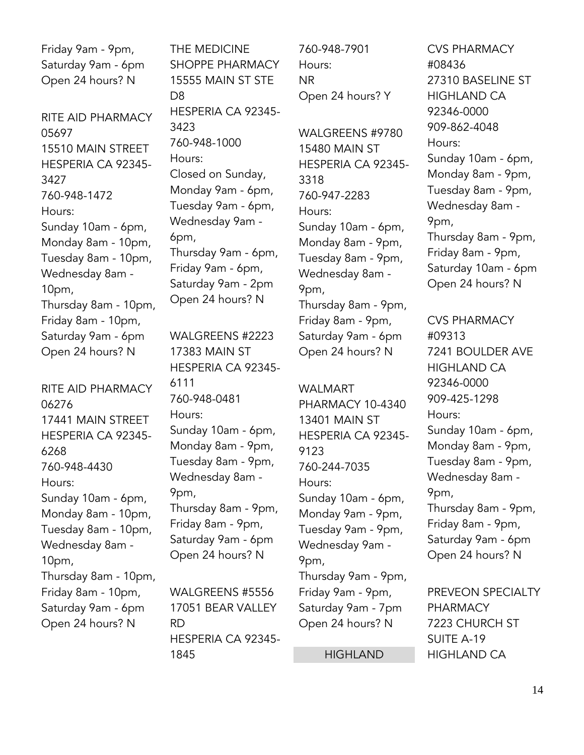Friday 9am - 9pm, Saturday 9am - 6pm Open 24 hours? N

RITE AID PHARMACY 05697 15510 MAIN STREET HESPERIA CA 92345- 3427 760-948-1472 Hours: Sunday 10am - 6pm, Monday 8am - 10pm, Tuesday 8am - 10pm, Wednesday 8am - 10pm, Thursday 8am - 10pm, Friday 8am - 10pm, Saturday 9am - 6pm Open 24 hours? N

RITE AID PHARMACY 06276 17441 MAIN STREET HESPERIA CA 92345- 6268 760-948-4430 Hours: Sunday 10am - 6pm, Monday 8am - 10pm, Tuesday 8am - 10pm, Wednesday 8am - 10pm, Thursday 8am - 10pm, Friday 8am - 10pm, Saturday 9am - 6pm Open 24 hours? N

THE MEDICINE SHOPPE PHARMACY 15555 MAIN ST STE D8 HESPERIA CA 92345- 3423 760-948-1000 Hours: Closed on Sunday, Monday 9am - 6pm, Tuesday 9am - 6pm, Wednesday 9am - 6pm, Thursday 9am - 6pm, Friday 9am - 6pm, Saturday 9am - 2pm Open 24 hours? N

WALGREENS #2223 17383 MAIN ST HESPERIA CA 92345- 6111 760-948-0481 Hours: Sunday 10am - 6pm, Monday 8am - 9pm, Tuesday 8am - 9pm, Wednesday 8am - 9pm, Thursday 8am - 9pm, Friday 8am - 9pm, Saturday 9am - 6pm Open 24 hours? N

WALGREENS #5556 17051 BEAR VALLEY RD HESPERIA CA 92345- 1845

760-948-7901 Hours: NR Open 24 hours? Y

WALGREENS #9780 15480 MAIN ST HESPERIA CA 92345- 3318 760-947-2283 Hours: Sunday 10am - 6pm, Monday 8am - 9pm, Tuesday 8am - 9pm, Wednesday 8am - 9pm, Thursday 8am - 9pm, Friday 8am - 9pm, Saturday 9am - 6pm Open 24 hours? N

WALMART PHARMACY 10-4340 13401 MAIN ST HESPERIA CA 92345- 9123 760-244-7035 Hours: Sunday 10am - 6pm, Monday 9am - 9pm, Tuesday 9am - 9pm, Wednesday 9am - 9pm, Thursday 9am - 9pm, Friday 9am - 9pm, Saturday 9am - 7pm Open 24 hours? N

HIGHLAND

CVS PHARMACY #08436 27310 BASELINE ST HIGHLAND CA 92346-0000 909-862-4048 Hours: Sunday 10am - 6pm, Monday 8am - 9pm, Tuesday 8am - 9pm, Wednesday 8am - 9pm, Thursday 8am - 9pm, Friday 8am - 9pm, Saturday 10am - 6pm Open 24 hours? N

CVS PHARMACY #09313 7241 BOULDER AVE HIGHLAND CA 92346-0000 909-425-1298 Hours: Sunday 10am - 6pm, Monday 8am - 9pm, Tuesday 8am - 9pm, Wednesday 8am - 9pm, Thursday 8am - 9pm, Friday 8am - 9pm, Saturday 9am - 6pm Open 24 hours? N

PREVEON SPECIALTY PHARMACY 7223 CHURCH ST SUITE A-19 HIGHLAND CA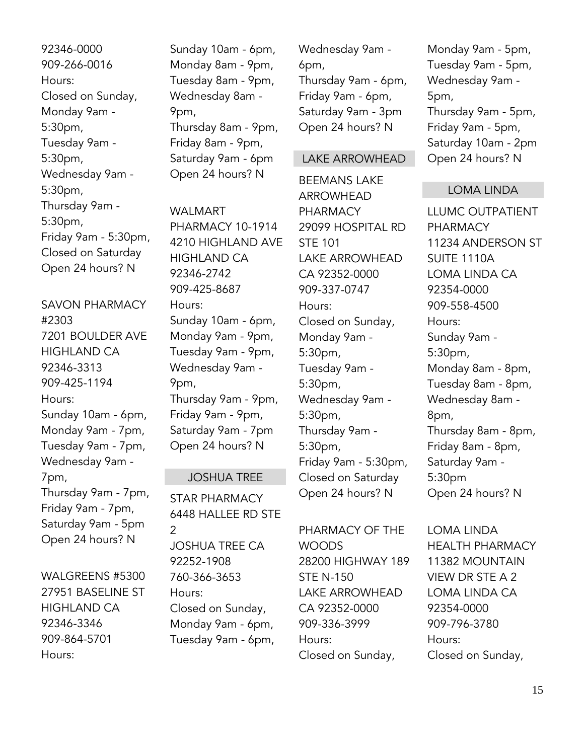92346-0000 909-266-0016 Hours: Closed on Sunday, Monday 9am - 5:30pm, Tuesday 9am - 5:30pm, Wednesday 9am - 5:30pm, Thursday 9am - 5:30pm, Friday 9am - 5:30pm, Closed on Saturday Open 24 hours? N

SAVON PHARMACY #2303 7201 BOULDER AVE HIGHLAND CA 92346-3313 909-425-1194 Hours: Sunday 10am - 6pm, Monday 9am - 7pm, Tuesday 9am - 7pm, Wednesday 9am - 7pm, Thursday 9am - 7pm, Friday 9am - 7pm, Saturday 9am - 5pm Open 24 hours? N

WALGREENS #5300 27951 BASELINE ST HIGHLAND CA 92346-3346 909-864-5701 Hours:

Sunday 10am - 6pm, Monday 8am - 9pm, Tuesday 8am - 9pm, Wednesday 8am - 9pm, Thursday 8am - 9pm, Friday 8am - 9pm, Saturday 9am - 6pm Open 24 hours? N

WAI MART PHARMACY 10-1914 4210 HIGHLAND AVE HIGHLAND CA 92346-2742 909-425-8687 Hours: Sunday 10am - 6pm, Monday 9am - 9pm, Tuesday 9am - 9pm, Wednesday 9am - 9pm, Thursday 9am - 9pm, Friday 9am - 9pm, Saturday 9am - 7pm Open 24 hours? N

#### JOSHUA TREE

STAR PHARMACY 6448 HALLEE RD STE  $\mathcal{P}$ JOSHUA TREE CA 92252-1908 760-366-3653 Hours: Closed on Sunday, Monday 9am - 6pm, Tuesday 9am - 6pm,

Wednesday 9am - 6pm, Thursday 9am - 6pm, Friday 9am - 6pm, Saturday 9am - 3pm Open 24 hours? N

#### LAKE ARROWHEAD

BEEMANS LAKE ARROWHEAD PHARMACY 29099 HOSPITAL RD STE 101 LAKE ARROWHEAD CA 92352-0000 909-337-0747 Hours: Closed on Sunday, Monday 9am - 5:30pm, Tuesday 9am - 5:30pm, Wednesday 9am - 5:30pm, Thursday 9am - 5:30pm, Friday 9am - 5:30pm, Closed on Saturday Open 24 hours? N

PHARMACY OF THE WOODS 28200 HIGHWAY 189 STE N-150 LAKE ARROWHEAD CA 92352-0000 909-336-3999 Hours: Closed on Sunday,

Monday 9am - 5pm, Tuesday 9am - 5pm, Wednesday 9am - 5pm, Thursday 9am - 5pm, Friday 9am - 5pm, Saturday 10am - 2pm Open 24 hours? N

#### LOMA LINDA

LLUMC OUTPATIENT PHARMACY 11234 ANDERSON ST SUITE 1110A LOMA LINDA CA 92354-0000 909-558-4500 Hours: Sunday 9am - 5:30pm, Monday 8am - 8pm, Tuesday 8am - 8pm, Wednesday 8am - 8pm, Thursday 8am - 8pm, Friday 8am - 8pm, Saturday 9am - 5:30pm Open 24 hours? N

LOMA LINDA HEALTH PHARMACY 11382 MOUNTAIN VIEW DR STE A 2 LOMA LINDA CA 92354-0000 909-796-3780 Hours: Closed on Sunday,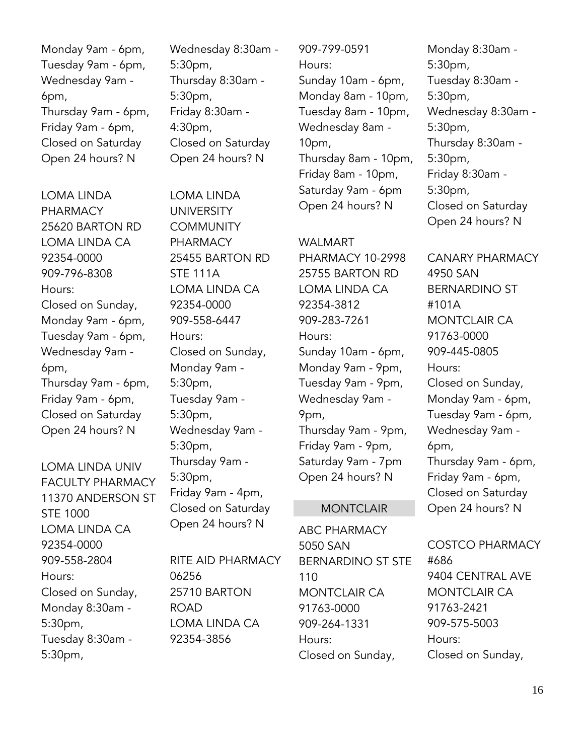Monday 9am - 6pm, Tuesday 9am - 6pm, Wednesday 9am - 6pm, Thursday 9am - 6pm, Friday 9am - 6pm, Closed on Saturday Open 24 hours? N

LOMA LINDA PHARMACY 25620 BARTON RD LOMA LINDA CA 92354-0000 909-796-8308 Hours: Closed on Sunday, Monday 9am - 6pm, Tuesday 9am - 6pm, Wednesday 9am - 6pm, Thursday 9am - 6pm, Friday 9am - 6pm, Closed on Saturday Open 24 hours? N

LOMA LINDA UNIV FACULTY PHARMACY 11370 ANDERSON ST STE 1000 LOMA LINDA CA 92354-0000 909-558-2804 Hours: Closed on Sunday, Monday 8:30am - 5:30pm, Tuesday 8:30am - 5:30pm,

Wednesday 8:30am - 5:30pm, Thursday 8:30am - 5:30pm, Friday 8:30am - 4:30pm, Closed on Saturday Open 24 hours? N

LOMA LINDA UNIVERSITY **COMMUNITY** PHARMACY 25455 BARTON RD STE 111A LOMA LINDA CA 92354-0000 909-558-6447 Hours: Closed on Sunday, Monday 9am - 5:30pm, Tuesday 9am - 5:30pm, Wednesday 9am - 5:30pm, Thursday 9am - 5:30pm, Friday 9am - 4pm, Closed on Saturday Open 24 hours? N

RITE AID PHARMACY 06256 25710 BARTON ROAD LOMA LINDA CA 92354-3856

909-799-0591 Hours: Sunday 10am - 6pm, Monday 8am - 10pm, Tuesday 8am - 10pm, Wednesday 8am - 10pm, Thursday 8am - 10pm, Friday 8am - 10pm, Saturday 9am - 6pm Open 24 hours? N

#### WALMART

PHARMACY 10-2998 25755 BARTON RD LOMA LINDA CA 92354-3812 909-283-7261 Hours: Sunday 10am - 6pm, Monday 9am - 9pm, Tuesday 9am - 9pm, Wednesday 9am - 9pm, Thursday 9am - 9pm, Friday 9am - 9pm, Saturday 9am - 7pm Open 24 hours? N

#### **MONTCLAIR**

ABC PHARMACY 5050 SAN BERNARDINO ST STE 110 MONTCLAIR CA 91763-0000 909-264-1331 Hours: Closed on Sunday,

Monday 8:30am - 5:30pm, Tuesday 8:30am - 5:30pm, Wednesday 8:30am - 5:30pm, Thursday 8:30am - 5:30pm, Friday 8:30am - 5:30pm, Closed on Saturday Open 24 hours? N

CANARY PHARMACY 4950 SAN BERNARDINO ST #101A MONTCLAIR CA 91763-0000 909-445-0805 Hours: Closed on Sunday, Monday 9am - 6pm, Tuesday 9am - 6pm, Wednesday 9am - 6pm, Thursday 9am - 6pm, Friday 9am - 6pm, Closed on Saturday Open 24 hours? N

COSTCO PHARMACY #686 9404 CENTRAL AVE MONTCLAIR CA 91763-2421 909-575-5003 Hours: Closed on Sunday,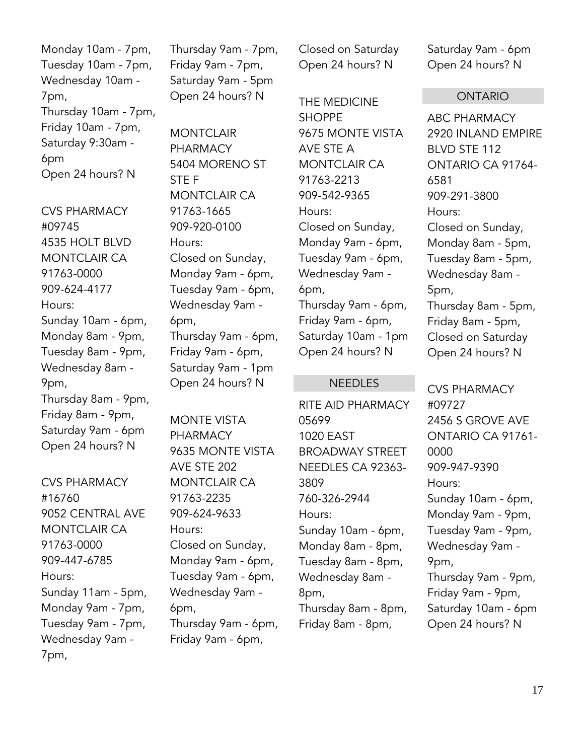Monday 10am - 7pm, Tuesday 10am - 7pm, Wednesday 10am - 7pm, Thursday 10am - 7pm, Friday 10am - 7pm, Saturday 9:30am - 6pm Open 24 hours? N

CVS PHARMACY #09745 4535 HOLT BLVD MONTCLAIR CA 91763-0000 909-624-4177 Hours: Sunday 10am - 6pm, Monday 8am - 9pm, Tuesday 8am - 9pm, Wednesday 8am - 9pm, Thursday 8am - 9pm, Friday 8am - 9pm, Saturday 9am - 6pm Open 24 hours? N

CVS PHARMACY #16760 9052 CENTRAL AVE MONTCLAIR CA 91763-0000 909-447-6785 Hours: Sunday 11am - 5pm, Monday 9am - 7pm, Tuesday 9am - 7pm, Wednesday 9am - 7pm,

Thursday 9am - 7pm, Friday 9am - 7pm, Saturday 9am - 5pm Open 24 hours? N

**MONTCLAIR** PHARMACY 5404 MORENO ST STE F MONTCLAIR CA 91763-1665 909-920-0100 Hours: Closed on Sunday, Monday 9am - 6pm, Tuesday 9am - 6pm, Wednesday 9am - 6pm, Thursday 9am - 6pm, Friday 9am - 6pm, Saturday 9am - 1pm Open 24 hours? N

MONTE VISTA PHARMACY 9635 MONTE VISTA AVE STE 202 MONTCLAIR CA 91763-2235 909-624-9633 Hours: Closed on Sunday, Monday 9am - 6pm, Tuesday 9am - 6pm, Wednesday 9am - 6pm, Thursday 9am - 6pm, Friday 9am - 6pm,

Closed on Saturday Open 24 hours? N

THE MEDICINE **SHOPPF** 9675 MONTE VISTA AVE STE A MONTCLAIR CA 91763-2213 909-542-9365 Hours: Closed on Sunday, Monday 9am - 6pm, Tuesday 9am - 6pm, Wednesday 9am - 6pm, Thursday 9am - 6pm, Friday 9am - 6pm, Saturday 10am - 1pm Open 24 hours? N

#### **NEEDLES**

RITE AID PHARMACY 05699 1020 EAST BROADWAY STREET NEEDLES CA 92363- 3809 760-326-2944 Hours: Sunday 10am - 6pm, Monday 8am - 8pm, Tuesday 8am - 8pm, Wednesday 8am - 8pm, Thursday 8am - 8pm, Friday 8am - 8pm,

Saturday 9am - 6pm Open 24 hours? N

#### ONTARIO

ABC PHARMACY 2920 INLAND EMPIRE BLVD STE 112 ONTARIO CA 91764- 6581 909-291-3800 Hours: Closed on Sunday, Monday 8am - 5pm, Tuesday 8am - 5pm, Wednesday 8am - 5pm, Thursday 8am - 5pm, Friday 8am - 5pm, Closed on Saturday Open 24 hours? N

CVS PHARMACY #09727 2456 S GROVE AVE ONTARIO CA 91761- 0000 909-947-9390 Hours: Sunday 10am - 6pm, Monday 9am - 9pm, Tuesday 9am - 9pm, Wednesday 9am - 9pm, Thursday 9am - 9pm, Friday 9am - 9pm, Saturday 10am - 6pm Open 24 hours? N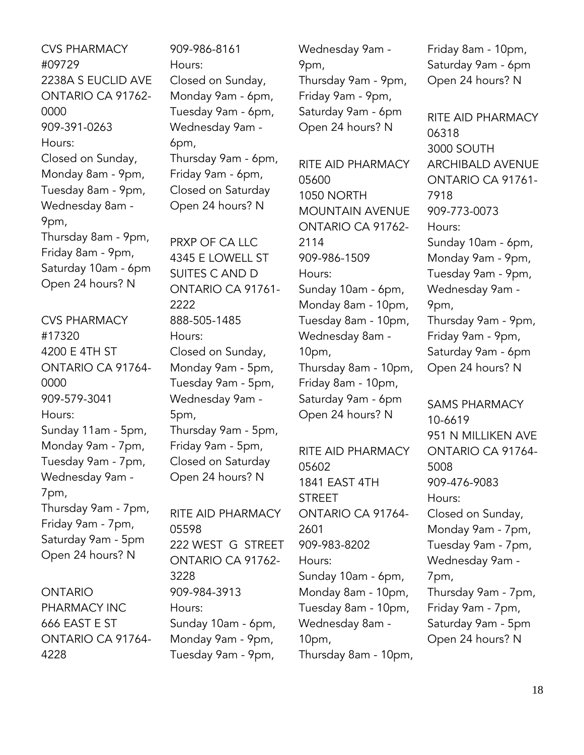CVS PHARMACY #09729 2238A S EUCLID AVE ONTARIO CA 91762- 0000 909-391-0263 Hours: Closed on Sunday, Monday 8am - 9pm, Tuesday 8am - 9pm, Wednesday 8am - 9pm, Thursday 8am - 9pm, Friday 8am - 9pm, Saturday 10am - 6pm Open 24 hours? N

CVS PHARMACY #17320 4200 E 4TH ST ONTARIO CA 91764- 0000 909-579-3041 Hours: Sunday 11am - 5pm, Monday 9am - 7pm, Tuesday 9am - 7pm, Wednesday 9am - 7pm, Thursday 9am - 7pm, Friday 9am - 7pm, Saturday 9am - 5pm Open 24 hours? N

ONTARIO PHARMACY INC 666 EAST E ST ONTARIO CA 91764- 4228

909-986-8161 Hours: Closed on Sunday, Monday 9am - 6pm, Tuesday 9am - 6pm, Wednesday 9am - 6pm, Thursday 9am - 6pm, Friday 9am - 6pm, Closed on Saturday Open 24 hours? N

PRXP OF CA LLC 4345 E LOWELL ST SUITES C AND D ONTARIO CA 91761- 2222 888-505-1485 Hours: Closed on Sunday, Monday 9am - 5pm, Tuesday 9am - 5pm, Wednesday 9am - 5pm, Thursday 9am - 5pm, Friday 9am - 5pm, Closed on Saturday Open 24 hours? N

RITE AID PHARMACY 05598 222 WEST G STREET ONTARIO CA 91762- 3228 909-984-3913 Hours: Sunday 10am - 6pm, Monday 9am - 9pm, Tuesday 9am - 9pm,

Wednesday 9am - 9pm, Thursday 9am - 9pm, Friday 9am - 9pm, Saturday 9am - 6pm Open 24 hours? N

RITE AID PHARMACY 05600 1050 NORTH MOUNTAIN AVENUE ONTARIO CA 91762- 2114 909-986-1509 Hours: Sunday 10am - 6pm, Monday 8am - 10pm, Tuesday 8am - 10pm, Wednesday 8am - 10pm, Thursday 8am - 10pm, Friday 8am - 10pm, Saturday 9am - 6pm Open 24 hours? N

RITE AID PHARMACY 05602 1841 EAST 4TH STREET ONTARIO CA 91764- 2601 909-983-8202 Hours: Sunday 10am - 6pm, Monday 8am - 10pm, Tuesday 8am - 10pm, Wednesday 8am - 10pm, Thursday 8am - 10pm, Friday 8am - 10pm, Saturday 9am - 6pm Open 24 hours? N

RITE AID PHARMACY 06318 3000 SOUTH ARCHIBALD AVENUE ONTARIO CA 91761- 7918 909-773-0073 Hours: Sunday 10am - 6pm, Monday 9am - 9pm, Tuesday 9am - 9pm, Wednesday 9am - 9pm, Thursday 9am - 9pm, Friday 9am - 9pm, Saturday 9am - 6pm Open 24 hours? N

SAMS PHARMACY 10-6619 951 N MILLIKEN AVE ONTARIO CA 91764- 5008 909-476-9083 Hours: Closed on Sunday, Monday 9am - 7pm, Tuesday 9am - 7pm, Wednesday 9am - 7pm, Thursday 9am - 7pm, Friday 9am - 7pm, Saturday 9am - 5pm Open 24 hours? N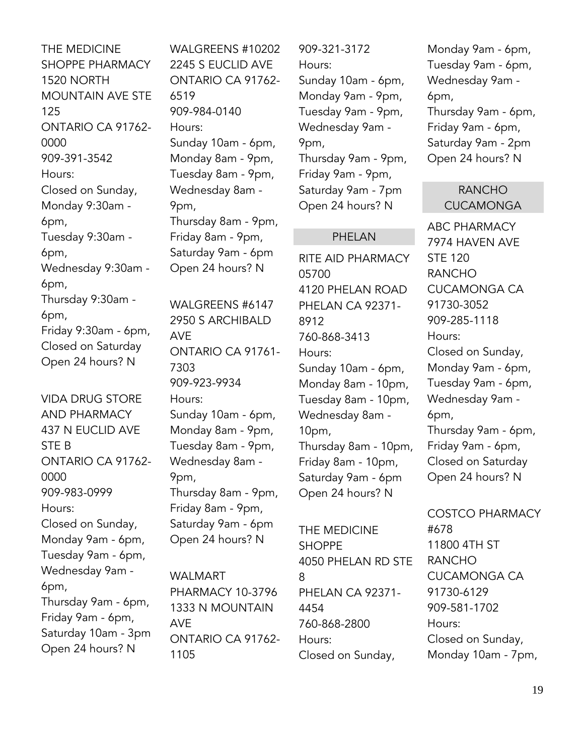THE MEDICINE SHOPPE PHARMACY 1520 NORTH MOUNTAIN AVE STE 125 ONTARIO CA 91762- 0000 909-391-3542 Hours: Closed on Sunday, Monday 9:30am - 6pm, Tuesday 9:30am - 6pm, Wednesday 9:30am - 6pm, Thursday 9:30am - 6pm, Friday 9:30am - 6pm, Closed on Saturday Open 24 hours? N

VIDA DRUG STORE AND PHARMACY 437 N EUCLID AVE STE B ONTARIO CA 91762- 0000 909-983-0999 Hours: Closed on Sunday, Monday 9am - 6pm, Tuesday 9am - 6pm, Wednesday 9am - 6pm, Thursday 9am - 6pm, Friday 9am - 6pm, Saturday 10am - 3pm Open 24 hours? N

WALGREENS #10202 2245 S EUCLID AVE ONTARIO CA 91762- 6519 909-984-0140 Hours: Sunday 10am - 6pm, Monday 8am - 9pm, Tuesday 8am - 9pm, Wednesday 8am - 9pm, Thursday 8am - 9pm, Friday 8am - 9pm, Saturday 9am - 6pm Open 24 hours? N

WALGREENS #6147 2950 S ARCHIBALD AVE ONTARIO CA 91761- 7303 909-923-9934 Hours: Sunday 10am - 6pm, Monday 8am - 9pm, Tuesday 8am - 9pm, Wednesday 8am - 9pm, Thursday 8am - 9pm, Friday 8am - 9pm, Saturday 9am - 6pm Open 24 hours? N

WALMART PHARMACY 10-3796 1333 N MOUNTAIN AVE ONTARIO CA 91762- 1105

909-321-3172 Hours: Sunday 10am - 6pm, Monday 9am - 9pm, Tuesday 9am - 9pm, Wednesday 9am - 9pm, Thursday 9am - 9pm, Friday 9am - 9pm, Saturday 9am - 7pm Open 24 hours? N

#### PHELAN

RITE AID PHARMACY 05700 4120 PHELAN ROAD PHELAN CA 92371- 8912 760-868-3413 Hours: Sunday 10am - 6pm, Monday 8am - 10pm, Tuesday 8am - 10pm, Wednesday 8am - 10pm, Thursday 8am - 10pm, Friday 8am - 10pm, Saturday 9am - 6pm Open 24 hours? N

THE MEDICINE SHOPPE 4050 PHELAN RD STE 8 PHELAN CA 92371- 4454 760-868-2800 Hours: Closed on Sunday,

Monday 9am - 6pm, Tuesday 9am - 6pm, Wednesday 9am - 6pm, Thursday 9am - 6pm, Friday 9am - 6pm, Saturday 9am - 2pm Open 24 hours? N

#### RANCHO CUCAMONGA

ABC PHARMACY 7974 HAVEN AVE STE 120 RANCHO CUCAMONGA CA 91730-3052 909-285-1118 Hours: Closed on Sunday, Monday 9am - 6pm, Tuesday 9am - 6pm, Wednesday 9am - 6pm, Thursday 9am - 6pm, Friday 9am - 6pm, Closed on Saturday Open 24 hours? N

COSTCO PHARMACY #678 11800 4TH ST RANCHO CUCAMONGA CA 91730-6129 909-581-1702 Hours: Closed on Sunday, Monday 10am - 7pm,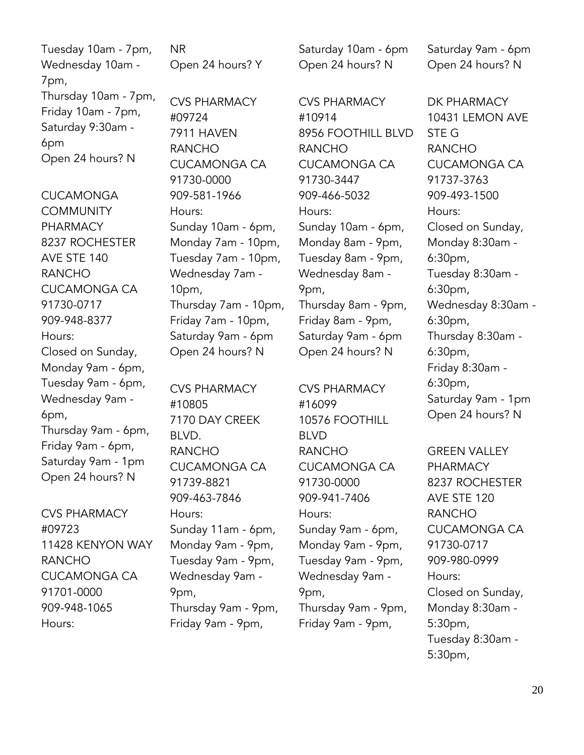| Tuesday 10am - 7pm,  | <b>NR</b>            | Saturday 10am - 6pm | Saturday 9am - 6pm  |
|----------------------|----------------------|---------------------|---------------------|
| Wednesday 10am -     | Open 24 hours? Y     | Open 24 hours? N    | Open 24 hours? N    |
| 7pm,                 |                      |                     |                     |
| Thursday 10am - 7pm, | <b>CVS PHARMACY</b>  | <b>CVS PHARMACY</b> | DK PHARMACY         |
| Friday 10am - 7pm,   | #09724               | #10914              | 10431 LEMON AVE     |
| Saturday 9:30am -    | 7911 HAVEN           | 8956 FOOTHILL BLVD  | STE G               |
| 6pm                  | <b>RANCHO</b>        | <b>RANCHO</b>       | <b>RANCHO</b>       |
| Open 24 hours? N     | <b>CUCAMONGA CA</b>  | <b>CUCAMONGA CA</b> | <b>CUCAMONGA CA</b> |
|                      | 91730-0000           | 91730-3447          | 91737-3763          |
| <b>CUCAMONGA</b>     | 909-581-1966         | 909-466-5032        | 909-493-1500        |
| <b>COMMUNITY</b>     | Hours:               | Hours:              | Hours:              |
| PHARMACY             | Sunday 10am - 6pm,   | Sunday 10am - 6pm,  | Closed on Sunday,   |
| 8237 ROCHESTER       | Monday 7am - 10pm,   | Monday 8am - 9pm,   | Monday 8:30am -     |
| AVE STE 140          | Tuesday 7am - 10pm,  | Tuesday 8am - 9pm,  | 6:30pm,             |
| <b>RANCHO</b>        | Wednesday 7am -      | Wednesday 8am -     | Tuesday 8:30am -    |
| <b>CUCAMONGA CA</b>  | 10 <sub>pm</sub>     | 9pm,                | 6:30pm,             |
| 91730-0717           | Thursday 7am - 10pm, | Thursday 8am - 9pm, | Wednesday 8:30am -  |
| 909-948-8377         | Friday 7am - 10pm,   | Friday 8am - 9pm,   | 6:30pm,             |
| Hours:               | Saturday 9am - 6pm   | Saturday 9am - 6pm  | Thursday 8:30am -   |
| Closed on Sunday,    | Open 24 hours? N     | Open 24 hours? N    | 6:30pm,             |
| Monday 9am - 6pm,    |                      |                     | Friday 8:30am -     |
| Tuesday 9am - 6pm,   | <b>CVS PHARMACY</b>  | <b>CVS PHARMACY</b> | 6:30pm,             |
| Wednesday 9am -      | #10805               | #16099              | Saturday 9am - 1pm  |
| 6pm,                 | 7170 DAY CREEK       | 10576 FOOTHILL      | Open 24 hours? N    |
| Thursday 9am - 6pm,  | BLVD.                | <b>BLVD</b>         |                     |
| Friday 9am - 6pm,    | <b>RANCHO</b>        | <b>RANCHO</b>       | <b>GREEN VALLEY</b> |
| Saturday 9am - 1pm   | <b>CUCAMONGA CA</b>  | <b>CUCAMONGA CA</b> | <b>PHARMACY</b>     |
| Open 24 hours? N     | 91739-8821           | 91730-0000          | 8237 ROCHESTER      |
|                      | 909-463-7846         | 909-941-7406        | AVE STE 120         |
| <b>CVS PHARMACY</b>  | Hours:               | Hours:              | <b>RANCHO</b>       |
| #09723               | Sunday 11am - 6pm,   | Sunday 9am - 6pm,   | <b>CUCAMONGA CA</b> |
| 11428 KENYON WAY     | Monday 9am - 9pm,    | Monday 9am - 9pm,   | 91730-0717          |
| <b>RANCHO</b>        | Tuesday 9am - 9pm,   | Tuesday 9am - 9pm,  | 909-980-0999        |
| <b>CUCAMONGA CA</b>  | Wednesday 9am -      | Wednesday 9am -     | Hours:              |
| 91701-0000           | 9pm,                 | 9pm,                | Closed on Sunday,   |
| 909-948-1065         | Thursday 9am - 9pm,  | Thursday 9am - 9pm, | Monday 8:30am -     |

Thursday 9am - 9pm, Friday 9am - 9pm,

Hours:

5:30pm, Tuesday 8:30am - 5:30pm,

Thursday 9am - 9pm, Friday 9am - 9pm,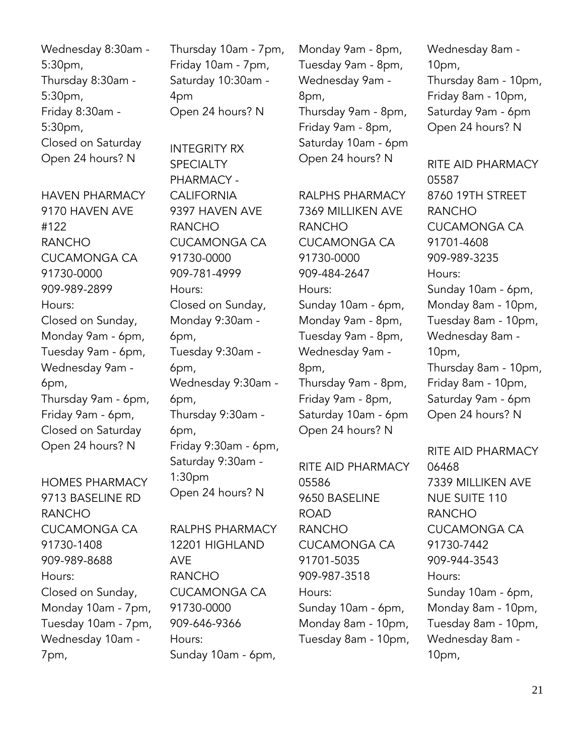| Wednesday 8:30am - |
|--------------------|
| 5:30 <sub>pm</sub> |
| Thursday 8:30am -  |
| 5:30pm,            |
| Friday 8:30am -    |
| 5:30 <sub>pm</sub> |
| Closed on Saturday |
| Open 24 hours? N   |

HAVEN PHARMACY 9170 HAVEN AVE #122 RANCHO CUCAMONGA CA 91730-0000 909-989-2899 Hours: Closed on Sunday, Monday 9am - 6pm, Tuesday 9am - 6pm, Wednesday 9am - 6pm, Thursday 9am - 6pm, Friday 9am - 6pm, Closed on Saturday Open 24 hours? N

HOMES PHARMACY 9713 BASELINE RD RANCHO CUCAMONGA CA 91730-1408 909-989-8688 Hours: Closed on Sunday, Monday 10am - 7pm, Tuesday 10am - 7pm, Wednesday 10am - 7pm,

Thursday 10am - 7pm, Friday 10am - 7pm, Saturday 10:30am - 4pm Open 24 hours? N

INTEGRITY RX **SPECIALTY** PHARMACY - **CALIFORNIA** 9397 HAVEN AVE RANCHO CUCAMONGA CA 91730-0000 909-781-4999 Hours: Closed on Sunday, Monday 9:30am - 6pm, Tuesday 9:30am - 6pm, Wednesday 9:30am - 6pm, Thursday 9:30am - 6pm, Friday 9:30am - 6pm, Saturday 9:30am - 1:30pm Open 24 hours? N

RALPHS PHARMACY 12201 HIGHLAND AVE RANCHO CUCAMONGA CA 91730-0000 909-646-9366 Hours: Sunday 10am - 6pm,

Monday 9am - 8pm, Tuesday 9am - 8pm, Wednesday 9am - 8pm, Thursday 9am - 8pm, Friday 9am - 8pm, Saturday 10am - 6pm Open 24 hours? N

RALPHS PHARMACY 7369 MILLIKEN AVE RANCHO CUCAMONGA CA 91730-0000 909-484-2647 Hours: Sunday 10am - 6pm, Monday 9am - 8pm, Tuesday 9am - 8pm, Wednesday 9am - 8pm, Thursday 9am - 8pm, Friday 9am - 8pm, Saturday 10am - 6pm Open 24 hours? N

RITE AID PHARMACY 05586 9650 BASELINE **ROAD** RANCHO CUCAMONGA CA 91701-5035 909-987-3518 Hours: Sunday 10am - 6pm, Monday 8am - 10pm, Tuesday 8am - 10pm, Wednesday 8am - 10pm, Thursday 8am - 10pm, Friday 8am - 10pm, Saturday 9am - 6pm Open 24 hours? N

RITE AID PHARMACY 05587 8760 19TH STREET RANCHO CUCAMONGA CA 91701-4608 909-989-3235 Hours: Sunday 10am - 6pm, Monday 8am - 10pm, Tuesday 8am - 10pm, Wednesday 8am - 10pm, Thursday 8am - 10pm, Friday 8am - 10pm, Saturday 9am - 6pm Open 24 hours? N

RITE AID PHARMACY 06468 7339 MILLIKEN AVE NUE SUITE 110 RANCHO CUCAMONGA CA 91730-7442 909-944-3543 Hours: Sunday 10am - 6pm, Monday 8am - 10pm, Tuesday 8am - 10pm, Wednesday 8am - 10pm,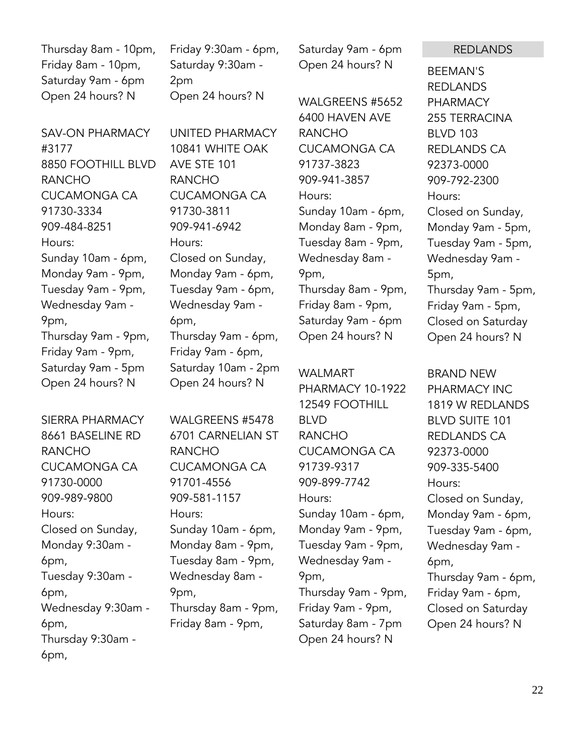Thursday 8am - 10pm, Friday 8am - 10pm, Saturday 9am - 6pm Open 24 hours? N

Friday 9:30am - 6pm, Saturday 9:30am - 2pm Open 24 hours? N

SAV-ON PHARMACY #3177 8850 FOOTHILL BLVD RANCHO CUCAMONGA CA 91730-3334 909-484-8251 Hours: Sunday 10am - 6pm, Monday 9am - 9pm, Tuesday 9am - 9pm, Wednesday 9am - 9pm, Thursday 9am - 9pm, Friday 9am - 9pm, Saturday 9am - 5pm Open 24 hours? N

SIERRA PHARMACY 8661 BASELINE RD RANCHO CUCAMONGA CA 91730-0000 909-989-9800 Hours: Closed on Sunday, Monday 9:30am - 6pm, Tuesday 9:30am - 6pm, Wednesday 9:30am - 6pm, Thursday 9:30am - 6pm,

UNITED PHARMACY 10841 WHITE OAK AVE STE 101 RANCHO CUCAMONGA CA 91730-3811 909-941-6942 Hours: Closed on Sunday, Monday 9am - 6pm, Tuesday 9am - 6pm, Wednesday 9am - 6pm, Thursday 9am - 6pm, Friday 9am - 6pm, Saturday 10am - 2pm Open 24 hours? N

WALGREENS #5478 6701 CARNELIAN ST RANCHO CUCAMONGA CA 91701-4556 909-581-1157 Hours: Sunday 10am - 6pm, Monday 8am - 9pm, Tuesday 8am - 9pm, Wednesday 8am - 9pm, Thursday 8am - 9pm, Friday 8am - 9pm,

Saturday 9am - 6pm Open 24 hours? N

WALGREENS #5652 6400 HAVEN AVE RANCHO CUCAMONGA CA 91737-3823 909-941-3857 Hours: Sunday 10am - 6pm, Monday 8am - 9pm, Tuesday 8am - 9pm, Wednesday 8am - 9pm, Thursday 8am - 9pm, Friday 8am - 9pm, Saturday 9am - 6pm Open 24 hours? N

WALMART PHARMACY 10-1922 12549 FOOTHILL BLVD RANCHO CUCAMONGA CA 91739-9317 909-899-7742 Hours: Sunday 10am - 6pm, Monday 9am - 9pm, Tuesday 9am - 9pm, Wednesday 9am - 9pm, Thursday 9am - 9pm, Friday 9am - 9pm, Saturday 8am - 7pm Open 24 hours? N

REDLANDS

BEEMAN'S REDLANDS PHARMACY 255 TERRACINA BLVD 103 REDLANDS CA 92373-0000 909-792-2300 Hours: Closed on Sunday, Monday 9am - 5pm, Tuesday 9am - 5pm, Wednesday 9am - 5pm, Thursday 9am - 5pm, Friday 9am - 5pm, Closed on Saturday Open 24 hours? N

BRAND NEW PHARMACY INC 1819 W REDLANDS BLVD SUITE 101 REDLANDS CA 92373-0000 909-335-5400 Hours: Closed on Sunday, Monday 9am - 6pm, Tuesday 9am - 6pm, Wednesday 9am - 6pm, Thursday 9am - 6pm, Friday 9am - 6pm, Closed on Saturday Open 24 hours? N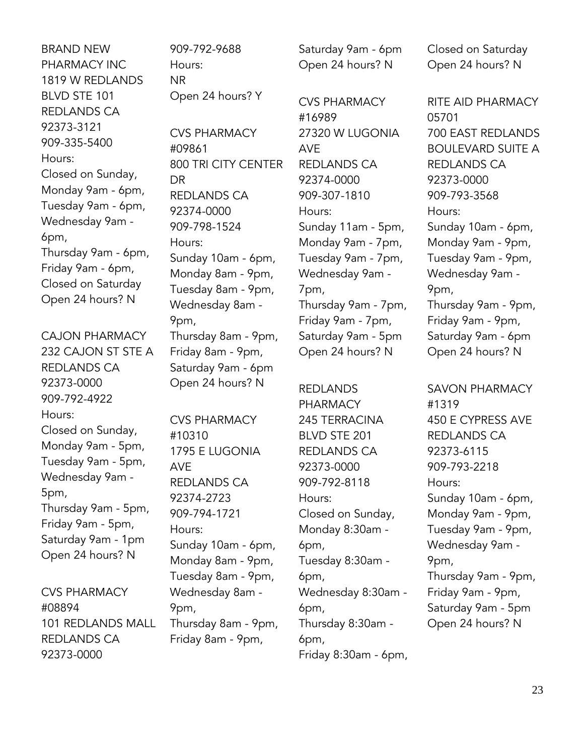BRAND NEW PHARMACY INC 1819 W REDLANDS BLVD STE 101 REDLANDS CA 92373-3121 909-335-5400 Hours: Closed on Sunday, Monday 9am - 6pm, Tuesday 9am - 6pm, Wednesday 9am - 6pm, Thursday 9am - 6pm, Friday 9am - 6pm, Closed on Saturday Open 24 hours? N

CAJON PHARMACY 232 CAJON ST STE A REDLANDS CA 92373-0000 909-792-4922 Hours: Closed on Sunday, Monday 9am - 5pm, Tuesday 9am - 5pm, Wednesday 9am - 5pm, Thursday 9am - 5pm, Friday 9am - 5pm, Saturday 9am - 1pm Open 24 hours? N

CVS PHARMACY #08894 101 REDLANDS MALL REDLANDS CA 92373-0000

909-792-9688 Hours: NR Open 24 hours? Y

CVS PHARMACY #09861 800 TRI CITY CENTER DR REDLANDS CA 92374-0000 909-798-1524 Hours: Sunday 10am - 6pm, Monday 8am - 9pm, Tuesday 8am - 9pm, Wednesday 8am - 9pm, Thursday 8am - 9pm, Friday 8am - 9pm, Saturday 9am - 6pm Open 24 hours? N

CVS PHARMACY #10310 1795 E LUGONIA AVE REDLANDS CA 92374-2723 909-794-1721 Hours: Sunday 10am - 6pm, Monday 8am - 9pm, Tuesday 8am - 9pm, Wednesday 8am - 9pm, Thursday 8am - 9pm, Friday 8am - 9pm,

Saturday 9am - 6pm Open 24 hours? N

CVS PHARMACY #16989 27320 W LUGONIA AVE REDLANDS CA 92374-0000 909-307-1810 Hours: Sunday 11am - 5pm, Monday 9am - 7pm, Tuesday 9am - 7pm, Wednesday 9am - 7pm, Thursday 9am - 7pm, Friday 9am - 7pm, Saturday 9am - 5pm Open 24 hours? N

REDLANDS PHARMACY 245 TERRACINA BLVD STE 201 REDLANDS CA 92373-0000 909-792-8118 Hours: Closed on Sunday, Monday 8:30am - 6pm, Tuesday 8:30am - 6pm, Wednesday 8:30am - 6pm, Thursday 8:30am - 6pm, Friday 8:30am - 6pm, Closed on Saturday Open 24 hours? N

RITE AID PHARMACY 05701 700 EAST REDLANDS BOULEVARD SUITE A REDLANDS CA 92373-0000 909-793-3568 Hours: Sunday 10am - 6pm, Monday 9am - 9pm, Tuesday 9am - 9pm, Wednesday 9am - 9pm, Thursday 9am - 9pm, Friday 9am - 9pm, Saturday 9am - 6pm Open 24 hours? N

SAVON PHARMACY #1319 450 E CYPRESS AVE REDLANDS CA 92373-6115 909-793-2218 Hours: Sunday 10am - 6pm, Monday 9am - 9pm, Tuesday 9am - 9pm, Wednesday 9am - 9pm, Thursday 9am - 9pm, Friday 9am - 9pm, Saturday 9am - 5pm Open 24 hours? N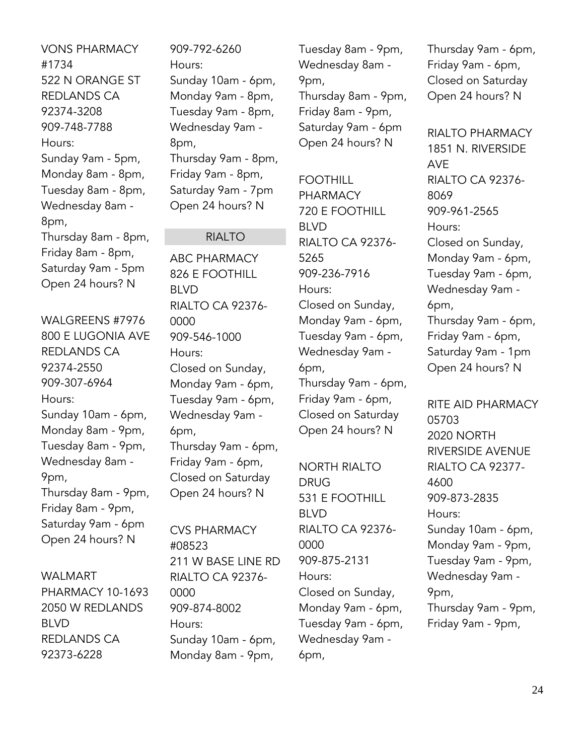VONS PHARMACY #1734 522 N ORANGE ST REDLANDS CA 92374-3208 909-748-7788 Hours: Sunday 9am - 5pm, Monday 8am - 8pm, Tuesday 8am - 8pm, Wednesday 8am - 8pm, Thursday 8am - 8pm, Friday 8am - 8pm, Saturday 9am - 5pm Open 24 hours? N

WALGREENS #7976 800 E LUGONIA AVE REDLANDS CA 92374-2550 909-307-6964 Hours: Sunday 10am - 6pm, Monday 8am - 9pm, Tuesday 8am - 9pm, Wednesday 8am - 9pm, Thursday 8am - 9pm, Friday 8am - 9pm, Saturday 9am - 6pm Open 24 hours? N

#### WALMART

PHARMACY 10-1693 2050 W REDLANDS BLVD REDLANDS CA 92373-6228

909-792-6260 Hours: Sunday 10am - 6pm, Monday 9am - 8pm, Tuesday 9am - 8pm, Wednesday 9am - 8pm, Thursday 9am - 8pm, Friday 9am - 8pm, Saturday 9am - 7pm Open 24 hours? N

#### RIALTO

ABC PHARMACY 826 E FOOTHILL BLVD RIALTO CA 92376- 0000 909-546-1000 Hours: Closed on Sunday, Monday 9am - 6pm, Tuesday 9am - 6pm, Wednesday 9am - 6pm, Thursday 9am - 6pm, Friday 9am - 6pm, Closed on Saturday Open 24 hours? N

CVS PHARMACY #08523 211 W BASE LINE RD RIALTO CA 92376- 0000 909-874-8002 Hours: Sunday 10am - 6pm, Monday 8am - 9pm,

Tuesday 8am - 9pm, Wednesday 8am - 9pm, Thursday 8am - 9pm, Friday 8am - 9pm, Saturday 9am - 6pm Open 24 hours? N

FOOTHILL PHARMACY 720 E FOOTHILL BLVD RIALTO CA 92376- 5265 909-236-7916 Hours: Closed on Sunday, Monday 9am - 6pm, Tuesday 9am - 6pm, Wednesday 9am - 6pm, Thursday 9am - 6pm, Friday 9am - 6pm, Closed on Saturday Open 24 hours? N

NORTH RIALTO DRUG 531 E FOOTHILL BLVD RIALTO CA 92376- 0000 909-875-2131 Hours: Closed on Sunday, Monday 9am - 6pm, Tuesday 9am - 6pm, Wednesday 9am - 6pm,

Thursday 9am - 6pm, Friday 9am - 6pm, Closed on Saturday Open 24 hours? N

RIALTO PHARMACY 1851 N. RIVERSIDE AVE RIALTO CA 92376- 8069 909-961-2565 Hours: Closed on Sunday, Monday 9am - 6pm, Tuesday 9am - 6pm, Wednesday 9am - 6pm, Thursday 9am - 6pm, Friday 9am - 6pm, Saturday 9am - 1pm Open 24 hours? N

RITE AID PHARMACY 05703 2020 NORTH RIVERSIDE AVENUE RIALTO CA 92377- 4600 909-873-2835 Hours: Sunday 10am - 6pm, Monday 9am - 9pm, Tuesday 9am - 9pm, Wednesday 9am - 9pm, Thursday 9am - 9pm, Friday 9am - 9pm,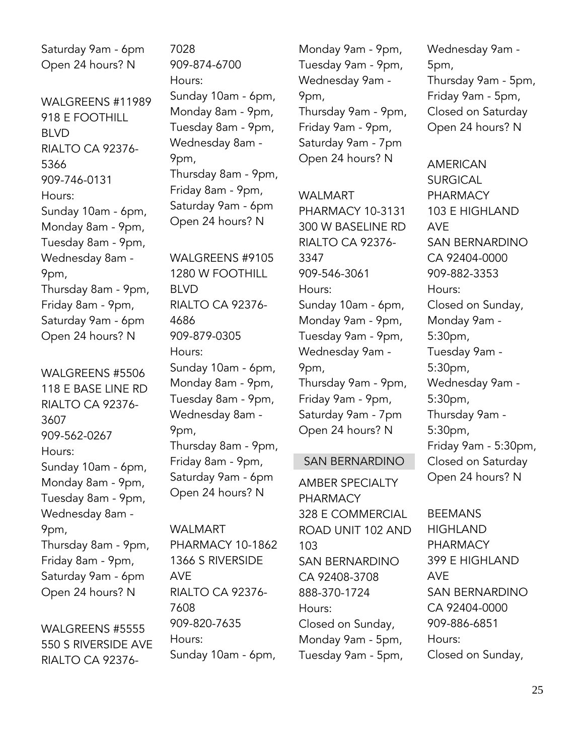Saturday 9am - 6pm Open 24 hours? N

WALGREENS #11989 918 E FOOTHILL BLVD RIALTO CA 92376- 5366 909-746-0131 Hours: Sunday 10am - 6pm, Monday 8am - 9pm, Tuesday 8am - 9pm, Wednesday 8am - 9pm, Thursday 8am - 9pm, Friday 8am - 9pm, Saturday 9am - 6pm Open 24 hours? N

WALGREENS #5506 118 E BASE LINE RD RIALTO CA 92376- 3607 909-562-0267 Hours: Sunday 10am - 6pm, Monday 8am - 9pm, Tuesday 8am - 9pm, Wednesday 8am - 9pm, Thursday 8am - 9pm, Friday 8am - 9pm, Saturday 9am - 6pm Open 24 hours? N

WALGREENS #5555 550 S RIVERSIDE AVE RIALTO CA 923767028 909-874-6700 Hours: Sunday 10am - 6pm, Monday 8am - 9pm, Tuesday 8am - 9pm, Wednesday 8am - 9pm, Thursday 8am - 9pm, Friday 8am - 9pm, Saturday 9am - 6pm Open 24 hours? N

WALGREENS #9105 1280 W FOOTHILL BLVD RIALTO CA 92376- 4686 909-879-0305 Hours: Sunday 10am - 6pm, Monday 8am - 9pm, Tuesday 8am - 9pm, Wednesday 8am - 9pm, Thursday 8am - 9pm, Friday 8am - 9pm, Saturday 9am - 6pm Open 24 hours? N

WALMART PHARMACY 10-1862 1366 S RIVERSIDE AVE RIALTO CA 92376- 7608 909-820-7635 Hours: Sunday 10am - 6pm,

Monday 9am - 9pm, Tuesday 9am - 9pm, Wednesday 9am - 9pm, Thursday 9am - 9pm, Friday 9am - 9pm, Saturday 9am - 7pm Open 24 hours? N

WAI MART PHARMACY 10-3131 300 W BASELINE RD RIALTO CA 92376- 3347 909-546-3061 Hours: Sunday 10am - 6pm, Monday 9am - 9pm, Tuesday 9am - 9pm, Wednesday 9am - 9pm, Thursday 9am - 9pm, Friday 9am - 9pm, Saturday 9am - 7pm Open 24 hours? N

#### SAN BERNARDINO

AMBER SPECIALTY PHARMACY 328 E COMMERCIAL ROAD UNIT 102 AND 103 SAN BERNARDINO CA 92408-3708 888-370-1724 Hours: Closed on Sunday, Monday 9am - 5pm, Tuesday 9am - 5pm,

Wednesday 9am - 5pm, Thursday 9am - 5pm, Friday 9am - 5pm, Closed on Saturday Open 24 hours? N

AMERICAN **SURGICAL** PHARMACY 103 E HIGHLAND AVE SAN BERNARDINO CA 92404-0000 909-882-3353 Hours: Closed on Sunday, Monday 9am - 5:30pm, Tuesday 9am - 5:30pm, Wednesday 9am - 5:30pm, Thursday 9am - 5:30pm, Friday 9am - 5:30pm, Closed on Saturday Open 24 hours? N

BEEMANS HIGHLAND PHARMACY 399 E HIGHLAND AVE SAN BERNARDINO CA 92404-0000 909-886-6851 Hours: Closed on Sunday,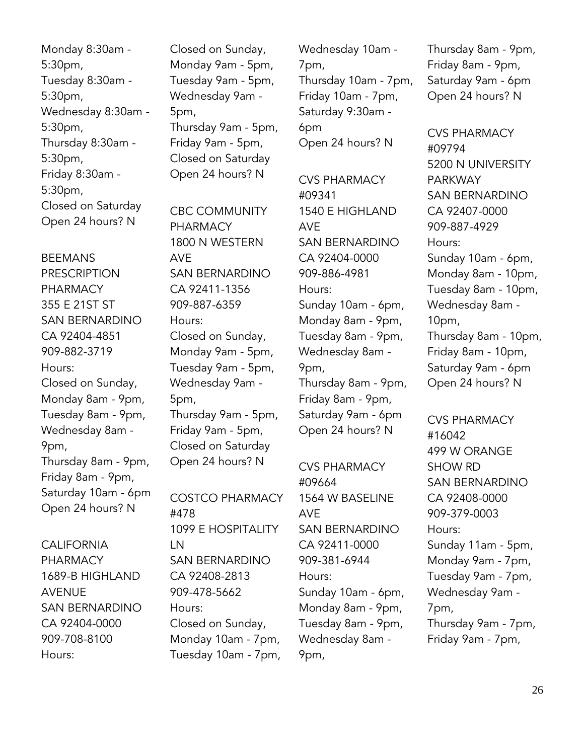Monday 8:30am - 5:30pm, Tuesday 8:30am - 5:30pm, Wednesday 8:30am - 5:30pm, Thursday 8:30am - 5:30pm, Friday 8:30am - 5:30pm, Closed on Saturday Open 24 hours? N

BEEMANS PRESCRIPTION PHARMACY 355 E 21ST ST SAN BERNARDINO CA 92404-4851 909-882-3719 Hours: Closed on Sunday, Monday 8am - 9pm, Tuesday 8am - 9pm, Wednesday 8am - 9pm, Thursday 8am - 9pm, Friday 8am - 9pm, Saturday 10am - 6pm Open 24 hours? N

### **CALIFORNIA** PHARMACY 1689-B HIGHLAND AVENUE SAN BERNARDINO CA 92404-0000 909-708-8100 Hours:

Closed on Sunday, Monday 9am - 5pm, Tuesday 9am - 5pm, Wednesday 9am - 5pm, Thursday 9am - 5pm, Friday 9am - 5pm, Closed on Saturday Open 24 hours? N

CBC COMMUNITY PHARMACY 1800 N WESTERN AVE SAN BERNARDINO CA 92411-1356 909-887-6359 Hours: Closed on Sunday, Monday 9am - 5pm, Tuesday 9am - 5pm, Wednesday 9am - 5pm, Thursday 9am - 5pm, Friday 9am - 5pm, Closed on Saturday Open 24 hours? N

COSTCO PHARMACY #478 1099 E HOSPITALITY LN SAN BERNARDINO CA 92408-2813 909-478-5662 Hours: Closed on Sunday, Monday 10am - 7pm, Tuesday 10am - 7pm,

Wednesday 10am - 7pm, Thursday 10am - 7pm, Friday 10am - 7pm, Saturday 9:30am - 6pm Open 24 hours? N

CVS PHARMACY #09341 1540 E HIGHLAND AVE SAN BERNARDINO CA 92404-0000 909-886-4981 Hours: Sunday 10am - 6pm, Monday 8am - 9pm, Tuesday 8am - 9pm, Wednesday 8am - 9pm, Thursday 8am - 9pm, Friday 8am - 9pm, Saturday 9am - 6pm Open 24 hours? N

CVS PHARMACY #09664 1564 W BASELINE AVE SAN BERNARDINO CA 92411-0000 909-381-6944 Hours: Sunday 10am - 6pm, Monday 8am - 9pm, Tuesday 8am - 9pm, Wednesday 8am - 9pm,

Thursday 8am - 9pm, Friday 8am - 9pm, Saturday 9am - 6pm Open 24 hours? N

CVS PHARMACY #09794 5200 N UNIVERSITY PARKWAY SAN BERNARDINO CA 92407-0000 909-887-4929 Hours: Sunday 10am - 6pm, Monday 8am - 10pm, Tuesday 8am - 10pm, Wednesday 8am - 10pm, Thursday 8am - 10pm, Friday 8am - 10pm, Saturday 9am - 6pm Open 24 hours? N

CVS PHARMACY #16042 499 W ORANGE SHOW RD SAN BERNARDINO CA 92408-0000 909-379-0003 Hours: Sunday 11am - 5pm, Monday 9am - 7pm, Tuesday 9am - 7pm, Wednesday 9am - 7pm, Thursday 9am - 7pm, Friday 9am - 7pm,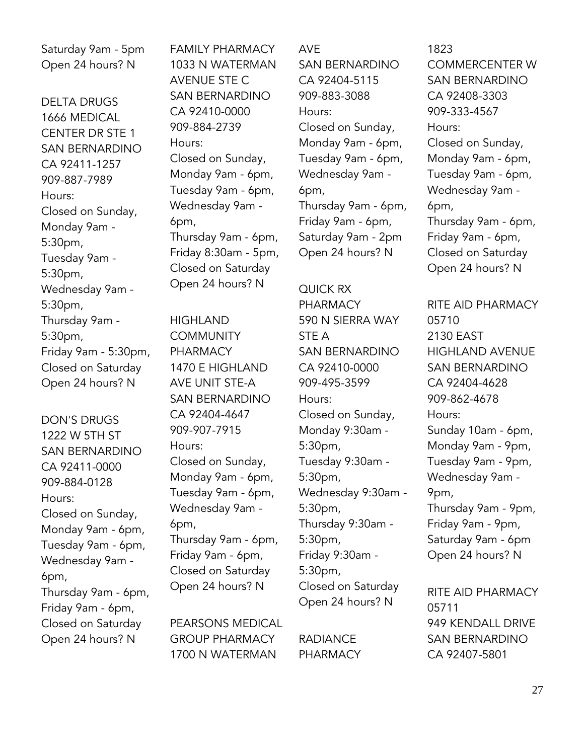Saturday 9am - 5pm Open 24 hours? N

DELTA DRUGS 1666 MEDICAL CENTER DR STE 1 SAN BERNARDINO CA 92411-1257 909-887-7989 Hours: Closed on Sunday, Monday 9am - 5:30pm, Tuesday 9am - 5:30pm, Wednesday 9am - 5:30pm, Thursday 9am - 5:30pm, Friday 9am - 5:30pm, Closed on Saturday Open 24 hours? N

DON'S DRUGS 1222 W 5TH ST SAN BERNARDINO CA 92411-0000 909-884-0128 Hours: Closed on Sunday, Monday 9am - 6pm, Tuesday 9am - 6pm, Wednesday 9am - 6pm, Thursday 9am - 6pm, Friday 9am - 6pm, Closed on Saturday Open 24 hours? N

FAMILY PHARMACY 1033 N WATERMAN AVENUE STE C SAN BERNARDINO CA 92410-0000 909-884-2739 Hours: Closed on Sunday, Monday 9am - 6pm, Tuesday 9am - 6pm, Wednesday 9am - 6pm, Thursday 9am - 6pm, Friday 8:30am - 5pm, Closed on Saturday Open 24 hours? N

HIGHLAND **COMMUNITY** PHARMACY 1470 E HIGHLAND AVE UNIT STE-A SAN BERNARDINO CA 92404-4647 909-907-7915 Hours: Closed on Sunday, Monday 9am - 6pm, Tuesday 9am - 6pm, Wednesday 9am - 6pm, Thursday 9am - 6pm, Friday 9am - 6pm, Closed on Saturday Open 24 hours? N

PEARSONS MEDICAL GROUP PHARMACY 1700 N WATERMAN

AVE SAN BERNARDINO CA 92404-5115 909-883-3088 Hours: Closed on Sunday, Monday 9am - 6pm, Tuesday 9am - 6pm, Wednesday 9am - 6pm, Thursday 9am - 6pm, Friday 9am - 6pm, Saturday 9am - 2pm Open 24 hours? N

QUICK RX PHARMACY 590 N SIERRA WAY STE A SAN BERNARDINO CA 92410-0000 909-495-3599 Hours: Closed on Sunday, Monday 9:30am - 5:30pm, Tuesday 9:30am - 5:30pm, Wednesday 9:30am - 5:30pm, Thursday 9:30am - 5:30pm, Friday 9:30am - 5:30pm, Closed on Saturday Open 24 hours? N

RADIANCE PHARMACY

1823 COMMERCENTER W SAN BERNARDINO CA 92408-3303 909-333-4567 Hours: Closed on Sunday, Monday 9am - 6pm, Tuesday 9am - 6pm, Wednesday 9am - 6pm, Thursday 9am - 6pm, Friday 9am - 6pm, Closed on Saturday Open 24 hours? N

RITE AID PHARMACY 05710 2130 EAST HIGHLAND AVENUE SAN BERNARDINO CA 92404-4628 909-862-4678 Hours: Sunday 10am - 6pm, Monday 9am - 9pm, Tuesday 9am - 9pm, Wednesday 9am - 9pm, Thursday 9am - 9pm, Friday 9am - 9pm, Saturday 9am - 6pm Open 24 hours? N

RITE AID PHARMACY 05711 949 KENDALL DRIVE SAN BERNARDINO CA 92407-5801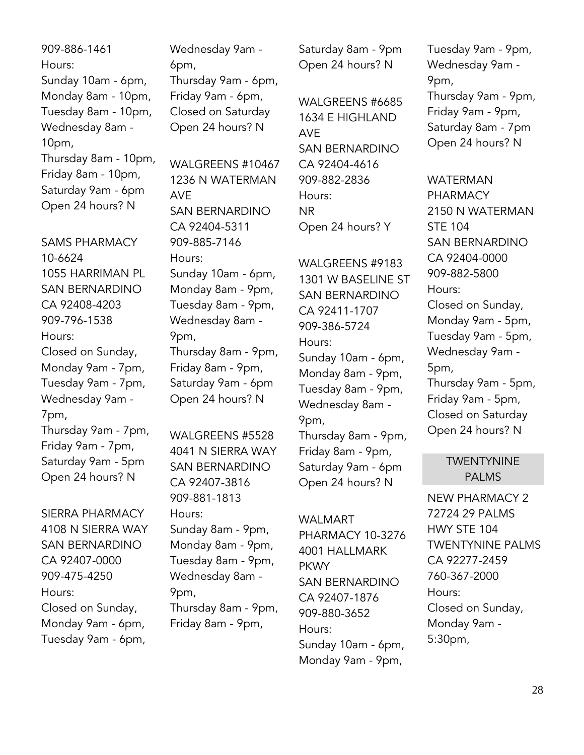909-886-1461 Hours: Sunday 10am - 6pm, Monday 8am - 10pm, Tuesday 8am - 10pm, Wednesday 8am - 10pm, Thursday 8am - 10pm, Friday 8am - 10pm, Saturday 9am - 6pm Open 24 hours? N

SAMS PHARMACY 10-6624 1055 HARRIMAN PL SAN BERNARDINO CA 92408-4203 909-796-1538 Hours: Closed on Sunday, Monday 9am - 7pm, Tuesday 9am - 7pm, Wednesday 9am - 7pm, Thursday 9am - 7pm, Friday 9am - 7pm, Saturday 9am - 5pm Open 24 hours? N

SIERRA PHARMACY 4108 N SIERRA WAY SAN BERNARDINO CA 92407-0000 909-475-4250 Hours: Closed on Sunday, Monday 9am - 6pm, Tuesday 9am - 6pm,

Wednesday 9am - 6pm, Thursday 9am - 6pm, Friday 9am - 6pm, Closed on Saturday Open 24 hours? N

WALGREENS #10467 1236 N WATERMAN AVE SAN BERNARDINO CA 92404-5311 909-885-7146 Hours: Sunday 10am - 6pm, Monday 8am - 9pm, Tuesday 8am - 9pm, Wednesday 8am - 9pm, Thursday 8am - 9pm, Friday 8am - 9pm, Saturday 9am - 6pm Open 24 hours? N

WALGREENS #5528 4041 N SIERRA WAY SAN BERNARDINO CA 92407-3816 909-881-1813 Hours: Sunday 8am - 9pm, Monday 8am - 9pm, Tuesday 8am - 9pm, Wednesday 8am - 9pm, Thursday 8am - 9pm, Friday 8am - 9pm,

Saturday 8am - 9pm Open 24 hours? N

WALGREENS #6685 1634 E HIGHLAND AVE SAN BERNARDINO CA 92404-4616 909-882-2836 Hours: NR Open 24 hours? Y

WALGREENS #9183 1301 W BASELINE ST SAN BERNARDINO CA 92411-1707 909-386-5724 Hours: Sunday 10am - 6pm, Monday 8am - 9pm, Tuesday 8am - 9pm, Wednesday 8am - 9pm, Thursday 8am - 9pm, Friday 8am - 9pm, Saturday 9am - 6pm Open 24 hours? N

#### WALMART

PHARMACY 10-3276 4001 HALLMARK **PKWY** SAN BERNARDINO CA 92407-1876 909-880-3652 Hours: Sunday 10am - 6pm, Monday 9am - 9pm,

Tuesday 9am - 9pm, Wednesday 9am - 9pm, Thursday 9am - 9pm, Friday 9am - 9pm, Saturday 8am - 7pm Open 24 hours? N

### WATERMAN **PHARMACY** 2150 N WATERMAN STE 104 SAN BERNARDINO CA 92404-0000 909-882-5800 Hours: Closed on Sunday, Monday 9am - 5pm, Tuesday 9am - 5pm, Wednesday 9am - 5pm, Thursday 9am - 5pm, Friday 9am - 5pm, Closed on Saturday Open 24 hours? N

#### **TWENTYNINE** PALMS

NEW PHARMACY 2 72724 29 PALMS HWY STE 104 TWENTYNINE PALMS CA 92277-2459 760-367-2000 Hours: Closed on Sunday, Monday 9am - 5:30pm,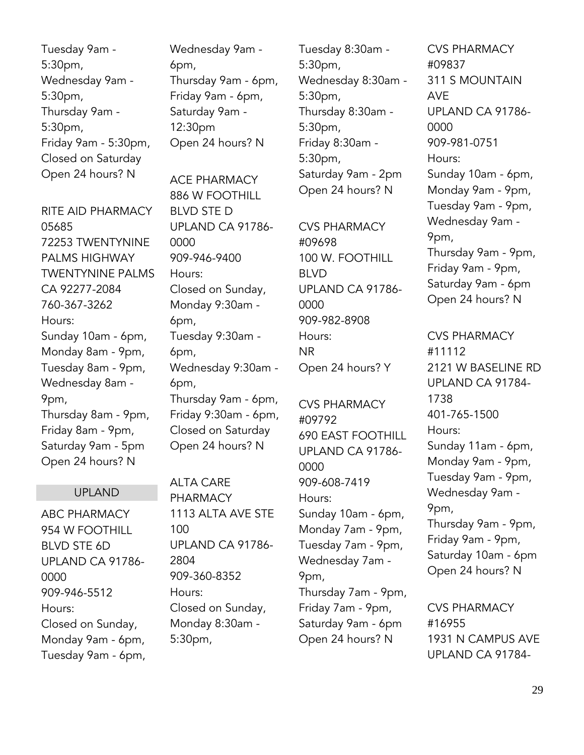Tuesday 9am - 5:30pm, Wednesday 9am - 5:30pm, Thursday 9am - 5:30pm, Friday 9am - 5:30pm, Closed on Saturday Open 24 hours? N

RITE AID PHARMACY 05685 72253 TWENTYNINE PALMS HIGHWAY TWENTYNINE PALMS CA 92277-2084 760-367-3262 Hours: Sunday 10am - 6pm, Monday 8am - 9pm, Tuesday 8am - 9pm, Wednesday 8am - 9pm, Thursday 8am - 9pm, Friday 8am - 9pm, Saturday 9am - 5pm Open 24 hours? N

#### UPLAND

ABC PHARMACY 954 W FOOTHILL BLVD STE 6D UPLAND CA 91786- 0000 909-946-5512 Hours: Closed on Sunday, Monday 9am - 6pm, Tuesday 9am - 6pm, Wednesday 9am - 6pm, Thursday 9am - 6pm, Friday 9am - 6pm, Saturday 9am - 12:30pm Open 24 hours? N

ACE PHARMACY 886 W FOOTHILL BLVD STE D UPLAND CA 91786- 0000 909-946-9400 Hours: Closed on Sunday, Monday 9:30am - 6pm, Tuesday 9:30am - 6pm, Wednesday 9:30am - 6pm, Thursday 9am - 6pm, Friday 9:30am - 6pm, Closed on Saturday Open 24 hours? N

ALTA CARE PHARMACY 1113 ALTA AVE STE 100 UPLAND CA 91786- 2804 909-360-8352 Hours: Closed on Sunday, Monday 8:30am - 5:30pm,

Tuesday 8:30am - 5:30pm, Wednesday 8:30am - 5:30pm, Thursday 8:30am - 5:30pm, Friday 8:30am - 5:30pm, Saturday 9am - 2pm Open 24 hours? N

CVS PHARMACY #09698 100 W. FOOTHILL BLVD UPLAND CA 91786- 0000 909-982-8908 Hours: NR Open 24 hours? Y

CVS PHARMACY #09792 690 EAST FOOTHILL UPLAND CA 91786- 0000 909-608-7419 Hours: Sunday 10am - 6pm, Monday 7am - 9pm, Tuesday 7am - 9pm, Wednesday 7am - 9pm, Thursday 7am - 9pm, Friday 7am - 9pm, Saturday 9am - 6pm Open 24 hours? N

CVS PHARMACY #09837 311 S MOUNTAIN AVE UPLAND CA 91786- 0000 909-981-0751 Hours: Sunday 10am - 6pm, Monday 9am - 9pm, Tuesday 9am - 9pm, Wednesday 9am - 9pm, Thursday 9am - 9pm, Friday 9am - 9pm, Saturday 9am - 6pm Open 24 hours? N

CVS PHARMACY #11112 2121 W BASELINE RD UPLAND CA 91784- 1738 401-765-1500 Hours: Sunday 11am - 6pm, Monday 9am - 9pm, Tuesday 9am - 9pm, Wednesday 9am - 9pm, Thursday 9am - 9pm, Friday 9am - 9pm, Saturday 10am - 6pm Open 24 hours? N

CVS PHARMACY #16955 1931 N CAMPUS AVE UPLAND CA 91784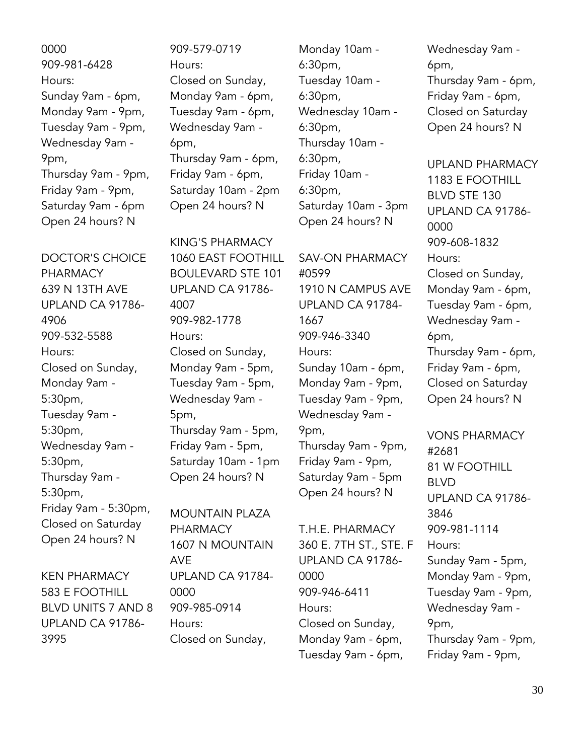0000 909-981-6428 Hours: Sunday 9am - 6pm, Monday 9am - 9pm, Tuesday 9am - 9pm, Wednesday 9am - 9pm, Thursday 9am - 9pm, Friday 9am - 9pm, Saturday 9am - 6pm Open 24 hours? N

DOCTOR'S CHOICE PHARMACY 639 N 13TH AVE UPLAND CA 91786- 4906 909-532-5588 Hours: Closed on Sunday, Monday 9am - 5:30pm, Tuesday 9am - 5:30pm, Wednesday 9am - 5:30pm, Thursday 9am - 5:30pm, Friday 9am - 5:30pm, Closed on Saturday Open 24 hours? N

KEN PHARMACY 583 E FOOTHILL BLVD UNITS 7 AND 8 UPLAND CA 91786- 3995

909-579-0719 Hours: Closed on Sunday, Monday 9am - 6pm, Tuesday 9am - 6pm, Wednesday 9am - 6pm, Thursday 9am - 6pm, Friday 9am - 6pm, Saturday 10am - 2pm Open 24 hours? N

KING'S PHARMACY 1060 EAST FOOTHILL BOULEVARD STE 101 UPLAND CA 91786- 4007 909-982-1778 Hours: Closed on Sunday, Monday 9am - 5pm, Tuesday 9am - 5pm, Wednesday 9am - 5pm, Thursday 9am - 5pm, Friday 9am - 5pm, Saturday 10am - 1pm Open 24 hours? N

MOUNTAIN PLAZA PHARMACY 1607 N MOUNTAIN AVE UPLAND CA 91784- 0000 909-985-0914 Hours: Closed on Sunday,

Monday 10am - 6:30pm, Tuesday 10am - 6:30pm, Wednesday 10am - 6:30pm, Thursday 10am - 6:30pm, Friday 10am - 6:30pm, Saturday 10am - 3pm Open 24 hours? N

SAV-ON PHARMACY #0599 1910 N CAMPUS AVE UPLAND CA 91784- 1667 909-946-3340 Hours: Sunday 10am - 6pm, Monday 9am - 9pm, Tuesday 9am - 9pm, Wednesday 9am - 9pm, Thursday 9am - 9pm, Friday 9am - 9pm, Saturday 9am - 5pm Open 24 hours? N

T.H.E. PHARMACY 360 E. 7TH ST., STE. F UPLAND CA 91786- 0000 909-946-6411 Hours: Closed on Sunday, Monday 9am - 6pm, Tuesday 9am - 6pm,

Wednesday 9am - 6pm, Thursday 9am - 6pm, Friday 9am - 6pm, Closed on Saturday Open 24 hours? N

UPLAND PHARMACY 1183 E FOOTHILL BLVD STE 130 UPLAND CA 91786- 0000 909-608-1832 Hours: Closed on Sunday, Monday 9am - 6pm, Tuesday 9am - 6pm, Wednesday 9am - 6pm, Thursday 9am - 6pm, Friday 9am - 6pm, Closed on Saturday Open 24 hours? N

VONS PHARMACY #2681 81 W FOOTHILL BLVD UPLAND CA 91786- 3846 909-981-1114 Hours: Sunday 9am - 5pm, Monday 9am - 9pm, Tuesday 9am - 9pm, Wednesday 9am - 9pm, Thursday 9am - 9pm, Friday 9am - 9pm,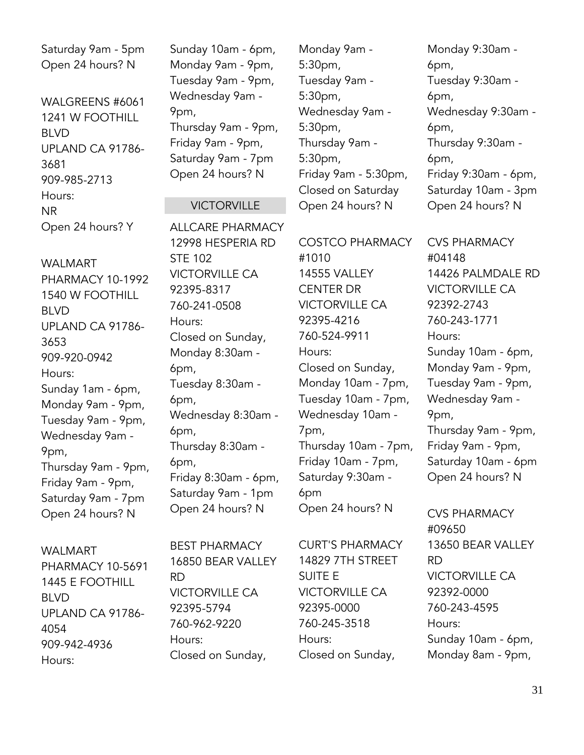Saturday 9am - 5pm Open 24 hours? N

WALGREENS #6061 1241 W FOOTHILL BLVD UPLAND CA 91786- 3681 909-985-2713 Hours: NR Open 24 hours? Y

WALMART PHARMACY 10-1992 1540 W FOOTHILL BLVD UPLAND CA 91786- 3653 909-920-0942 Hours: Sunday 1am - 6pm, Monday 9am - 9pm, Tuesday 9am - 9pm, Wednesday 9am - 9pm, Thursday 9am - 9pm, Friday 9am - 9pm, Saturday 9am - 7pm Open 24 hours? N

#### WALMART

PHARMACY 10-5691 1445 E FOOTHILL BLVD UPLAND CA 91786- 4054 909-942-4936 Hours:

Sunday 10am - 6pm, Monday 9am - 9pm, Tuesday 9am - 9pm, Wednesday 9am - 9pm, Thursday 9am - 9pm, Friday 9am - 9pm, Saturday 9am - 7pm Open 24 hours? N

#### VICTORVILLE

ALLCARE PHARMACY 12998 HESPERIA RD STE 102 VICTORVILLE CA 92395-8317 760-241-0508 Hours: Closed on Sunday, Monday 8:30am - 6pm, Tuesday 8:30am - 6pm, Wednesday 8:30am - 6pm, Thursday 8:30am - 6pm, Friday 8:30am - 6pm, Saturday 9am - 1pm Open 24 hours? N

Monday 9am - 5:30pm, Tuesday 9am - 5:30pm, Wednesday 9am - 5:30pm, Thursday 9am - 5:30pm, Friday 9am - 5:30pm, Closed on Saturday Open 24 hours? N

COSTCO PHARMACY #1010 14555 VALLEY CENTER DR VICTORVILLE CA 92395-4216 760-524-9911 Hours: Closed on Sunday, Monday 10am - 7pm, Tuesday 10am - 7pm, Wednesday 10am - 7pm, Thursday 10am - 7pm, Friday 10am - 7pm, Saturday 9:30am - 6pm Open 24 hours? N

6pm, Tuesday 9:30am - 6pm, Wednesday 9:30am - 6pm, Thursday 9:30am - 6pm, Friday 9:30am - 6pm, Saturday 10am - 3pm

Open 24 hours? N

Monday 9:30am -

CVS PHARMACY #04148 14426 PALMDALE RD VICTORVILLE CA 92392-2743 760-243-1771 Hours: Sunday 10am - 6pm, Monday 9am - 9pm, Tuesday 9am - 9pm, Wednesday 9am - 9pm, Thursday 9am - 9pm, Friday 9am - 9pm, Saturday 10am - 6pm Open 24 hours? N

CVS PHARMACY #09650 13650 BEAR VALLEY RD VICTORVILLE CA 92392-0000 760-243-4595 Hours: Sunday 10am - 6pm, Monday 8am - 9pm,

BEST PHARMACY 16850 BEAR VALLEY RD VICTORVILLE CA 92395-5794 760-962-9220 Hours: Closed on Sunday,

CURT'S PHARMACY 14829 7TH STREET SUITE E VICTORVILLE CA 92395-0000 760-245-3518 Hours: Closed on Sunday,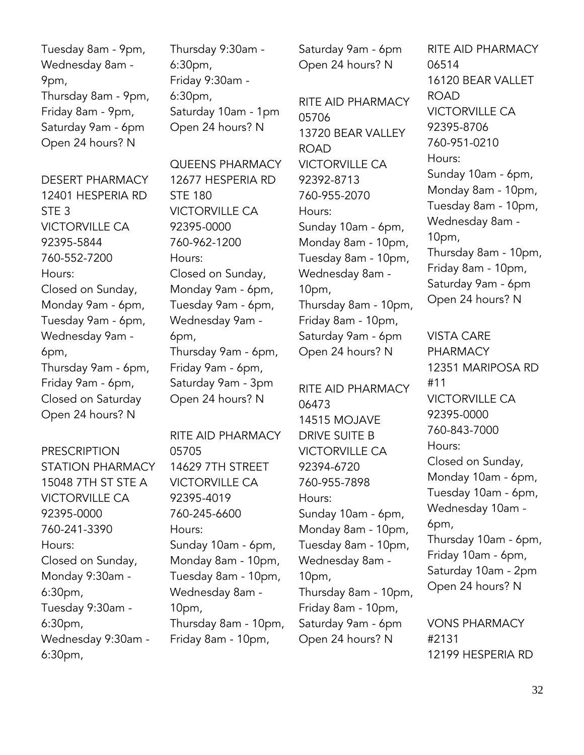Tuesday 8am - 9pm, Wednesday 8am - 9pm, Thursday 8am - 9pm, Friday 8am - 9pm, Saturday 9am - 6pm Open 24 hours? N

DESERT PHARMACY 12401 HESPERIA RD STE 3 VICTORVILLE CA 92395-5844 760-552-7200 Hours: Closed on Sunday, Monday 9am - 6pm, Tuesday 9am - 6pm, Wednesday 9am - 6pm, Thursday 9am - 6pm, Friday 9am - 6pm, Closed on Saturday Open 24 hours? N

PRESCRIPTION STATION PHARMACY 15048 7TH ST STE A VICTORVILLE CA 92395-0000 760-241-3390 Hours: Closed on Sunday, Monday 9:30am - 6:30pm, Tuesday 9:30am - 6:30pm, Wednesday 9:30am - 6:30pm,

Thursday 9:30am - 6:30pm, Friday 9:30am - 6:30pm, Saturday 10am - 1pm Open 24 hours? N

QUEENS PHARMACY 12677 HESPERIA RD STE 180 VICTORVILLE CA 92395-0000 760-962-1200 Hours: Closed on Sunday, Monday 9am - 6pm, Tuesday 9am - 6pm, Wednesday 9am - 6pm, Thursday 9am - 6pm, Friday 9am - 6pm, Saturday 9am - 3pm Open 24 hours? N

RITE AID PHARMACY 05705 14629 7TH STREET VICTORVILLE CA 92395-4019 760-245-6600 Hours: Sunday 10am - 6pm, Monday 8am - 10pm, Tuesday 8am - 10pm, Wednesday 8am - 10pm, Thursday 8am - 10pm, Friday 8am - 10pm,

Saturday 9am - 6pm Open 24 hours? N

RITE AID PHARMACY 05706 13720 BEAR VALLEY ROAD VICTORVILLE CA 92392-8713 760-955-2070 Hours: Sunday 10am - 6pm, Monday 8am - 10pm, Tuesday 8am - 10pm, Wednesday 8am - 10pm, Thursday 8am - 10pm, Friday 8am - 10pm, Saturday 9am - 6pm Open 24 hours? N

RITE AID PHARMACY 06473 14515 MOJAVE DRIVE SUITE B VICTORVILLE CA 92394-6720 760-955-7898 Hours: Sunday 10am - 6pm, Monday 8am - 10pm, Tuesday 8am - 10pm, Wednesday 8am - 10pm, Thursday 8am - 10pm, Friday 8am - 10pm, Saturday 9am - 6pm Open 24 hours? N

RITE AID PHARMACY 06514 16120 BEAR VALLET ROAD VICTORVILLE CA 92395-8706 760-951-0210 Hours: Sunday 10am - 6pm, Monday 8am - 10pm, Tuesday 8am - 10pm, Wednesday 8am - 10pm, Thursday 8am - 10pm, Friday 8am - 10pm, Saturday 9am - 6pm Open 24 hours? N

VISTA CARE PHARMACY 12351 MARIPOSA RD #11 VICTORVILLE CA 92395-0000 760-843-7000 Hours: Closed on Sunday, Monday 10am - 6pm, Tuesday 10am - 6pm, Wednesday 10am - 6pm, Thursday 10am - 6pm, Friday 10am - 6pm, Saturday 10am - 2pm Open 24 hours? N

VONS PHARMACY #2131 12199 HESPERIA RD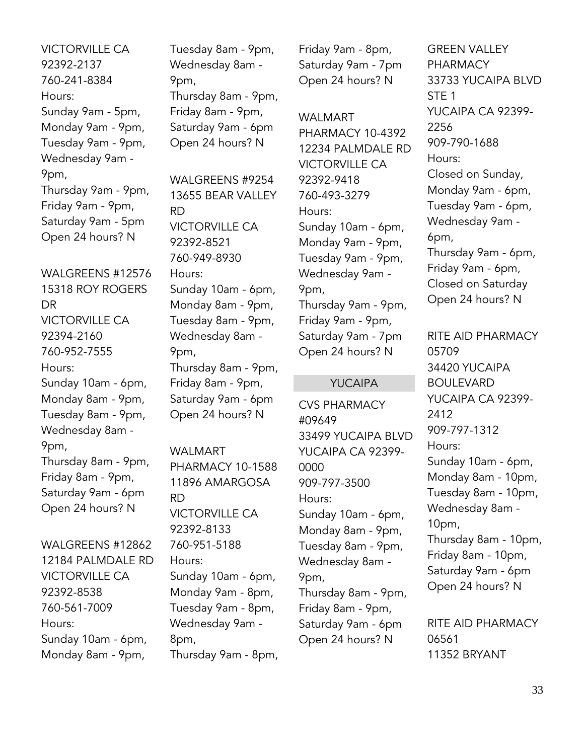VICTORVILLE CA 92392-2137 760-241-8384 Hours: Sunday 9am - 5pm, Monday 9am - 9pm, Tuesday 9am - 9pm, Wednesday 9am - 9pm, Thursday 9am - 9pm, Friday 9am - 9pm, Saturday 9am - 5pm Open 24 hours? N

WALGREENS #12576 15318 ROY ROGERS DR VICTORVILLE CA 92394-2160 760-952-7555 Hours: Sunday 10am - 6pm, Monday 8am - 9pm, Tuesday 8am - 9pm, Wednesday 8am - 9pm, Thursday 8am - 9pm, Friday 8am - 9pm, Saturday 9am - 6pm Open 24 hours? N

WALGREENS #12862 12184 PALMDALE RD VICTORVILLE CA 92392-8538 760-561-7009 Hours: Sunday 10am - 6pm, Monday 8am - 9pm,

Tuesday 8am - 9pm, Wednesday 8am - 9pm, Thursday 8am - 9pm, Friday 8am - 9pm, Saturday 9am - 6pm Open 24 hours? N

WALGREENS #9254 13655 BEAR VALLEY RD VICTORVILLE CA 92392-8521 760-949-8930 Hours: Sunday 10am - 6pm, Monday 8am - 9pm, Tuesday 8am - 9pm, Wednesday 8am - 9pm, Thursday 8am - 9pm, Friday 8am - 9pm, Saturday 9am - 6pm Open 24 hours? N

WALMART PHARMACY 10-1588 11896 AMARGOSA RD VICTORVILLE CA 92392-8133 760-951-5188 Hours: Sunday 10am - 6pm, Monday 9am - 8pm, Tuesday 9am - 8pm, Wednesday 9am - 8pm, Thursday 9am - 8pm,

Friday 9am - 8pm, Saturday 9am - 7pm Open 24 hours? N

WALMART PHARMACY 10-4392 12234 PALMDALE RD VICTORVILLE CA 92392-9418 760-493-3279 Hours: Sunday 10am - 6pm, Monday 9am - 9pm, Tuesday 9am - 9pm, Wednesday 9am - 9pm, Thursday 9am - 9pm, Friday 9am - 9pm, Saturday 9am - 7pm Open 24 hours? N

#### YUCAIPA

CVS PHARMACY #09649 33499 YUCAIPA BLVD YUCAIPA CA 92399- 0000 909-797-3500 Hours: Sunday 10am - 6pm, Monday 8am - 9pm, Tuesday 8am - 9pm, Wednesday 8am - 9pm, Thursday 8am - 9pm, Friday 8am - 9pm, Saturday 9am - 6pm Open 24 hours? N

GREEN VALLEY **PHARMACY** 33733 YUCAIPA BLVD STE 1 YUCAIPA CA 92399- 2256 909-790-1688 Hours: Closed on Sunday, Monday 9am - 6pm, Tuesday 9am - 6pm, Wednesday 9am - 6pm, Thursday 9am - 6pm, Friday 9am - 6pm, Closed on Saturday Open 24 hours? N

RITE AID PHARMACY 05709 34420 YUCAIPA BOULEVARD YUCAIPA CA 92399- 2412 909-797-1312 Hours: Sunday 10am - 6pm, Monday 8am - 10pm, Tuesday 8am - 10pm, Wednesday 8am - 10pm, Thursday 8am - 10pm, Friday 8am - 10pm, Saturday 9am - 6pm Open 24 hours? N

RITE AID PHARMACY 06561 11352 BRYANT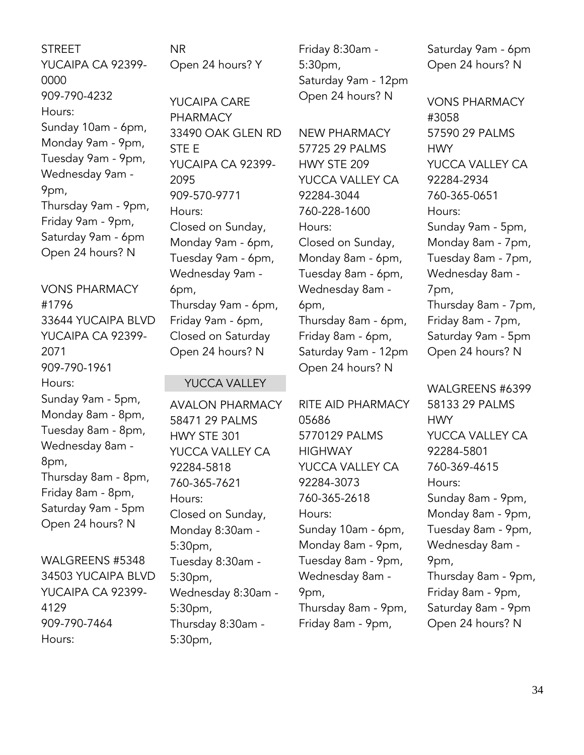**STREET** YUCAIPA CA 92399- 0000 909-790-4232 Hours: Sunday 10am - 6pm, Monday 9am - 9pm, Tuesday 9am - 9pm, Wednesday 9am - 9pm, Thursday 9am - 9pm, Friday 9am - 9pm, Saturday 9am - 6pm Open 24 hours? N

VONS PHARMACY #1796 33644 YUCAIPA BLVD YUCAIPA CA 92399- 2071 909-790-1961 Hours: Sunday 9am - 5pm, Monday 8am - 8pm, Tuesday 8am - 8pm, Wednesday 8am - 8pm, Thursday 8am - 8pm, Friday 8am - 8pm, Saturday 9am - 5pm Open 24 hours? N

WALGREENS #5348 34503 YUCAIPA BLVD YUCAIPA CA 92399- 4129 909-790-7464 Hours:

NR Open 24 hours? Y

YUCAIPA CARE PHARMACY 33490 OAK GLEN RD STE E YUCAIPA CA 92399- 2095 909-570-9771 Hours: Closed on Sunday, Monday 9am - 6pm, Tuesday 9am - 6pm, Wednesday 9am - 6pm, Thursday 9am - 6pm, Friday 9am - 6pm, Closed on Saturday Open 24 hours? N

#### YUCCA VALLEY

AVALON PHARMACY 58471 29 PALMS HWY STE 301 YUCCA VALLEY CA 92284-5818 760-365-7621 Hours: Closed on Sunday, Monday 8:30am - 5:30pm, Tuesday 8:30am - 5:30pm, Wednesday 8:30am - 5:30pm, Thursday 8:30am - 5:30pm,

Friday 8:30am - 5:30pm, Saturday 9am - 12pm Open 24 hours? N

NEW PHARMACY 57725 29 PALMS HWY STE 209 YUCCA VALLEY CA 92284-3044 760-228-1600 Hours: Closed on Sunday, Monday 8am - 6pm, Tuesday 8am - 6pm, Wednesday 8am - 6pm, Thursday 8am - 6pm, Friday 8am - 6pm, Saturday 9am - 12pm Open 24 hours? N

RITE AID PHARMACY 05686 5770129 PALMS **HIGHWAY** YUCCA VALLEY CA 92284-3073 760-365-2618 Hours: Sunday 10am - 6pm, Monday 8am - 9pm, Tuesday 8am - 9pm, Wednesday 8am - 9pm, Thursday 8am - 9pm, Friday 8am - 9pm,

Saturday 9am - 6pm Open 24 hours? N

VONS PHARMACY #3058 57590 29 PALMS **HWY** YUCCA VALLEY CA 92284-2934 760-365-0651 Hours: Sunday 9am - 5pm, Monday 8am - 7pm, Tuesday 8am - 7pm, Wednesday 8am - 7pm, Thursday 8am - 7pm, Friday 8am - 7pm, Saturday 9am - 5pm Open 24 hours? N

WALGREENS #6399 58133 29 PALMS **HWY** YUCCA VALLEY CA 92284-5801 760-369-4615 Hours: Sunday 8am - 9pm, Monday 8am - 9pm, Tuesday 8am - 9pm, Wednesday 8am - 9pm, Thursday 8am - 9pm, Friday 8am - 9pm, Saturday 8am - 9pm Open 24 hours? N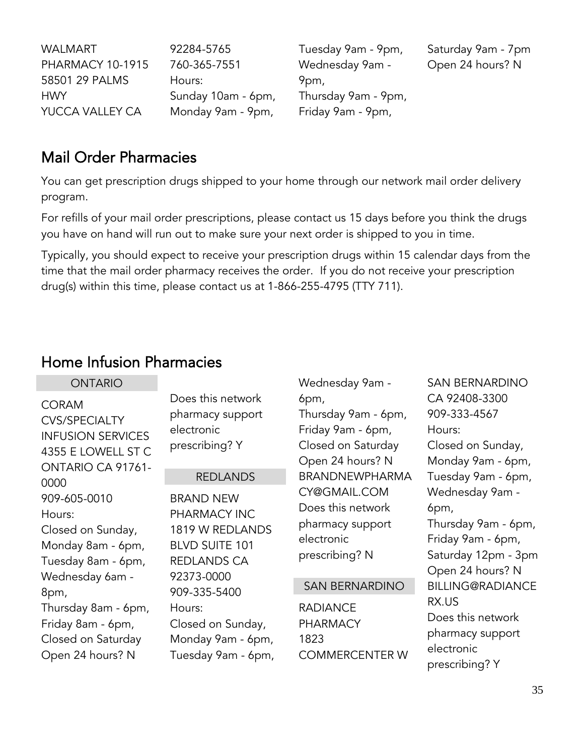| WALMART                 | 92284-5765         | Tuesday 9am - 9pm,  | Saturday 9am - 7pm |
|-------------------------|--------------------|---------------------|--------------------|
| <b>PHARMACY 10-1915</b> | 760-365-7551       | Wednesday 9am -     | Open 24 hours? N   |
| 58501 29 PALMS          | Hours:             | 9pm,                |                    |
| <b>HWY</b>              | Sunday 10am - 6pm, | Thursday 9am - 9pm, |                    |
| YUCCA VALLEY CA         | Monday 9am - 9pm,  | Friday 9am - 9pm,   |                    |

## <span id="page-34-0"></span>Mail Order Pharmacies

You can get prescription drugs shipped to your home through our network mail order delivery program.

For refills of your mail order prescriptions, please contact us 15 days before you think the drugs you have on hand will run out to make sure your next order is shipped to you in time.

Typically, you should expect to receive your prescription drugs within 15 calendar days from the time that the mail order pharmacy receives the order. If you do not receive your prescription drug(s) within this time, please contact us at 1-866-255-4795 (TTY 711).

## <span id="page-34-1"></span>Home Infusion Pharmacies

| <b>ONTARIO</b>                                                                                              |                                                                                                           | Wednesday 9am -                                                                            | <b>SAN BERNARDINO</b>                                                                                          |
|-------------------------------------------------------------------------------------------------------------|-----------------------------------------------------------------------------------------------------------|--------------------------------------------------------------------------------------------|----------------------------------------------------------------------------------------------------------------|
| <b>CORAM</b><br><b>CVS/SPECIALTY</b><br><b>INFUSION SERVICES</b><br>4355 E LOWELL ST C<br>ONTARIO CA 91761- | Does this network<br>pharmacy support<br>electronic<br>prescribing? Y                                     | 6pm,<br>Thursday 9am - 6pm,<br>Friday 9am - 6pm,<br>Closed on Saturday<br>Open 24 hours? N | CA 92408-3300<br>909-333-4567<br>Hours:<br>Closed on Sunday,<br>Monday 9am - 6pm,                              |
| 0000                                                                                                        | <b>REDLANDS</b>                                                                                           | <b>BRANDNEWPHARMA</b>                                                                      | Tuesday 9am - 6pm,                                                                                             |
| 909-605-0010<br>Hours:<br>Closed on Sunday,<br>Monday 8am - 6pm,<br>Tuesday 8am - 6pm,<br>Wednesday 6am -   | <b>BRAND NEW</b><br>PHARMACY INC<br>1819 W REDLANDS<br><b>BLVD SUITE 101</b><br>REDLANDS CA<br>92373-0000 | CY@GMAIL.COM<br>Does this network<br>pharmacy support<br>electronic<br>prescribing? N      | Wednesday 9am -<br>6pm,<br>Thursday 9am - 6pm,<br>Friday 9am - 6pm,<br>Saturday 12pm - 3pm<br>Open 24 hours? N |
| 8pm,                                                                                                        | 909-335-5400                                                                                              | <b>SAN BERNARDINO</b>                                                                      | <b>BILLING@RADIANCE</b>                                                                                        |
| Thursday 8am - 6pm,<br>Friday 8am - 6pm,<br>Closed on Saturday<br>Open 24 hours? N                          | Hours:<br>Closed on Sunday,<br>Monday 9am - 6pm,<br>Tuesday 9am - 6pm,                                    | <b>RADIANCE</b><br><b>PHARMACY</b><br>1823<br><b>COMMERCENTER W</b>                        | RX.US<br>Does this network<br>pharmacy support<br>electronic<br>prescribing? Y                                 |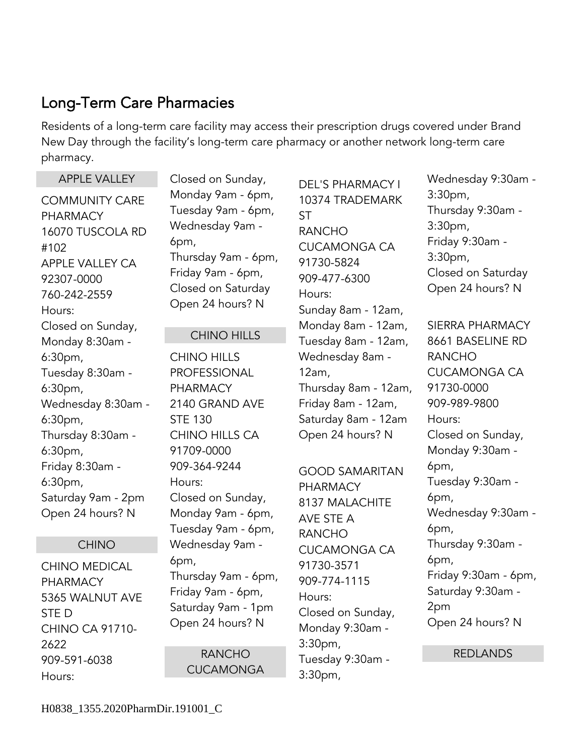## <span id="page-35-0"></span>Long-Term Care Pharmacies

Residents of a long-term care facility may access their prescription drugs covered under Brand New Day through the facility's long-term care pharmacy or another network long-term care pharmacy.

| <b>APPLE VALLEY</b>                                                                                                                                                                        | Closed on Sunday,                                                                                                                                                                                                                                                                                                                                                                                                                                  | <b>DEL'S PHARMACY I</b>                                                                                                                                                                | Wednesday 9:30am -                                                                                                                            |
|--------------------------------------------------------------------------------------------------------------------------------------------------------------------------------------------|----------------------------------------------------------------------------------------------------------------------------------------------------------------------------------------------------------------------------------------------------------------------------------------------------------------------------------------------------------------------------------------------------------------------------------------------------|----------------------------------------------------------------------------------------------------------------------------------------------------------------------------------------|-----------------------------------------------------------------------------------------------------------------------------------------------|
| <b>COMMUNITY CARE</b><br><b>PHARMACY</b><br>16070 TUSCOLA RD<br>#102<br>APPLE VALLEY CA<br>92307-0000<br>760-242-2559<br>Hours:<br>Closed on Sunday,                                       | Monday 9am - 6pm,<br>Tuesday 9am - 6pm,<br>Wednesday 9am -<br>6pm,<br>Thursday 9am - 6pm,<br>Friday 9am - 6pm,<br>Closed on Saturday<br>Open 24 hours? N                                                                                                                                                                                                                                                                                           | 10374 TRADEMARK<br><b>ST</b><br><b>RANCHO</b><br><b>CUCAMONGA CA</b><br>91730-5824<br>909-477-6300<br>Hours:<br>Sunday 8am - 12am,<br>Monday 8am - 12am,                               | 3:30 <sub>pm</sub><br>Thursday 9:30am -<br>3:30pm,<br>Friday 9:30am -<br>3:30pm,<br>Closed on Saturday<br>Open 24 hours? N<br>SIERRA PHARMACY |
| Monday 8:30am -                                                                                                                                                                            | <b>CHINO HILLS</b>                                                                                                                                                                                                                                                                                                                                                                                                                                 | Tuesday 8am - 12am,                                                                                                                                                                    | 8661 BASELINE RD                                                                                                                              |
| 6:30 <sub>pm</sub><br>Tuesday 8:30am -<br>6:30pm,<br>Wednesday 8:30am -<br>6:30pm,<br>Thursday 8:30am -<br>6:30pm,<br>Friday 8:30am -<br>6:30pm,<br>Saturday 9am - 2pm<br>Open 24 hours? N | Wednesday 8am -<br><b>CHINO HILLS</b><br><b>PROFESSIONAL</b><br>12am,<br><b>PHARMACY</b><br>Thursday 8am - 12am,<br>Friday 8am - 12am,<br>2140 GRAND AVE<br>Saturday 8am - 12am<br><b>STE 130</b><br>Open 24 hours? N<br><b>CHINO HILLS CA</b><br>91709-0000<br>909-364-9244<br><b>GOOD SAMARITAN</b><br>Hours:<br><b>PHARMACY</b><br>Closed on Sunday,<br>8137 MALACHITE<br>Monday 9am - 6pm,<br>AVE STE A<br>Tuesday 9am - 6pm,<br><b>RANCHO</b> | <b>RANCHO</b><br><b>CUCAMONGA CA</b><br>91730-0000<br>909-989-9800<br>Hours:<br>Closed on Sunday,<br>Monday 9:30am -<br>6pm,<br>Tuesday 9:30am -<br>6pm,<br>Wednesday 9:30am -<br>6pm, |                                                                                                                                               |
| <b>CHINO</b>                                                                                                                                                                               | Wednesday 9am -                                                                                                                                                                                                                                                                                                                                                                                                                                    | <b>CUCAMONGA CA</b>                                                                                                                                                                    | Thursday 9:30am -                                                                                                                             |
| <b>CHINO MEDICAL</b><br><b>PHARMACY</b><br>5365 WALNUT AVE<br>STE D<br><b>CHINO CA 91710-</b><br>2622                                                                                      | 6pm,<br>Thursday 9am - 6pm,<br>Friday 9am - 6pm,<br>Saturday 9am - 1pm<br>Open 24 hours? N                                                                                                                                                                                                                                                                                                                                                         | 91730-3571<br>909-774-1115<br>Hours:<br>Closed on Sunday,<br>Monday 9:30am -<br>3:30 <sub>pm</sub>                                                                                     | 6pm,<br>Friday 9:30am - 6pm,<br>Saturday 9:30am -<br>2pm<br>Open 24 hours? N                                                                  |
| 909-591-6038                                                                                                                                                                               | <b>RANCHO</b>                                                                                                                                                                                                                                                                                                                                                                                                                                      | Tuesday 9:30am -                                                                                                                                                                       | <b>REDLANDS</b>                                                                                                                               |
| Hours:                                                                                                                                                                                     | <b>CUCAMONGA</b>                                                                                                                                                                                                                                                                                                                                                                                                                                   | 3:30 <sub>pm</sub>                                                                                                                                                                     |                                                                                                                                               |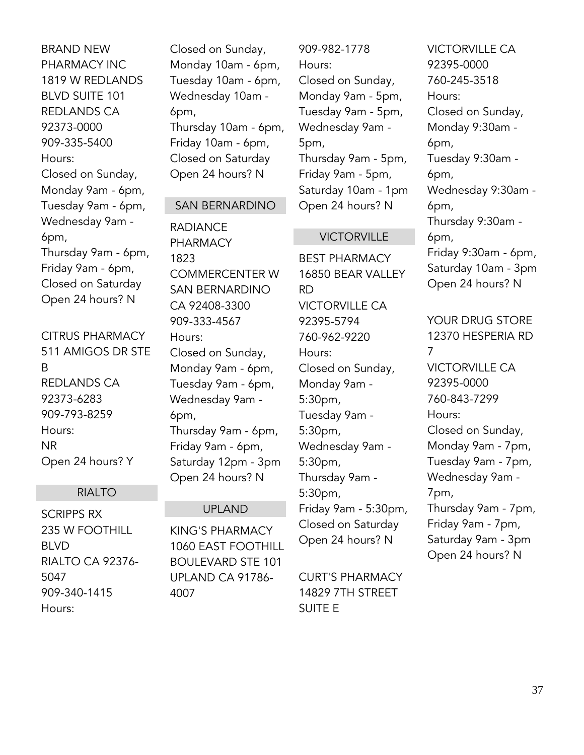BRAND NEW PHARMACY INC 1819 W REDLANDS BLVD SUITE 101 REDLANDS CA 92373-0000 909-335-5400 Hours: Closed on Sunday, Monday 9am - 6pm, Tuesday 9am - 6pm, Wednesday 9am - 6pm, Thursday 9am - 6pm, Friday 9am - 6pm, Closed on Saturday Open 24 hours? N

CITRUS PHARMACY 511 AMIGOS DR STE B REDLANDS CA 92373-6283 909-793-8259 Hours: NR Open 24 hours? Y

#### RIALTO

SCRIPPS RX 235 W FOOTHILL BLVD RIALTO CA 92376- 5047 909-340-1415 Hours:

Closed on Sunday, Monday 10am - 6pm, Tuesday 10am - 6pm, Wednesday 10am - 6pm, Thursday 10am - 6pm, Friday 10am - 6pm, Closed on Saturday Open 24 hours? N

#### SAN BERNARDINO

RADIANCE PHARMACY 1823 COMMERCENTER W SAN BERNARDINO CA 92408-3300 909-333-4567 Hours: Closed on Sunday, Monday 9am - 6pm, Tuesday 9am - 6pm, Wednesday 9am - 6pm, Thursday 9am - 6pm, Friday 9am - 6pm, Saturday 12pm - 3pm Open 24 hours? N

#### UPLAND

KING'S PHARMACY 1060 EAST FOOTHILL BOULEVARD STE 101 UPLAND CA 91786- 4007

909-982-1778 Hours: Closed on Sunday, Monday 9am - 5pm, Tuesday 9am - 5pm, Wednesday 9am - 5pm, Thursday 9am - 5pm, Friday 9am - 5pm, Saturday 10am - 1pm Open 24 hours? N

#### **VICTORVILLE**

BEST PHARMACY 16850 BEAR VALLEY RD VICTORVILLE CA 92395-5794 760-962-9220 Hours: Closed on Sunday, Monday 9am - 5:30pm, Tuesday 9am - 5:30pm, Wednesday 9am - 5:30pm, Thursday 9am - 5:30pm, Friday 9am - 5:30pm, Closed on Saturday Open 24 hours? N

CURT'S PHARMACY 14829 7TH STREET SUITE E

VICTORVILLE CA 92395-0000 760-245-3518 Hours: Closed on Sunday, Monday 9:30am - 6pm, Tuesday 9:30am - 6pm, Wednesday 9:30am - 6pm, Thursday 9:30am - 6pm, Friday 9:30am - 6pm, Saturday 10am - 3pm Open 24 hours? N

YOUR DRUG STORE 12370 HESPERIA RD 7 VICTORVILLE CA 92395-0000 760-843-7299 Hours: Closed on Sunday, Monday 9am - 7pm, Tuesday 9am - 7pm, Wednesday 9am - 7pm, Thursday 9am - 7pm, Friday 9am - 7pm, Saturday 9am - 3pm Open 24 hours? N